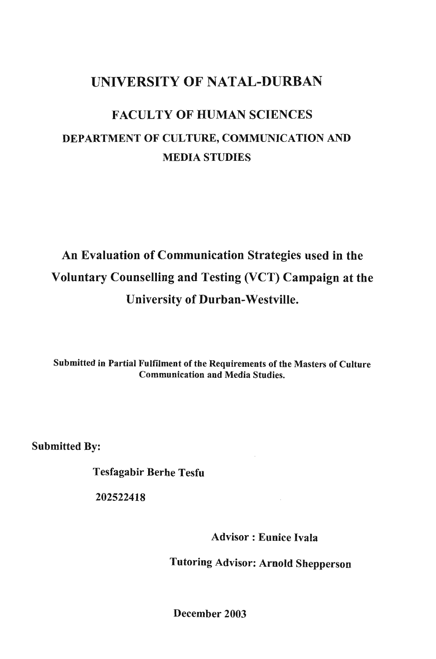## UNIVERSITY OF NATAL-DURBAN

## FACULTY OF HUMAN SCIENCES DEPARTMENT OF CULTURE, COMMUNICATION AND MEDIA STUDIES

## An Evaluation of Communication Strategies used in the Voluntary Counselling and Testing (VCT) Campaign at the University of Durban-Westville.

Submitted in Partial Fulfilment of the Requirements of the Masters of Culture Communication and Media Studies.

Submitted By:

Tesfagabir Berhe Tesfu

202522418

Advisor: Eunice Ivala

Tutoring Advisor: Arnold Shepperson

December 2003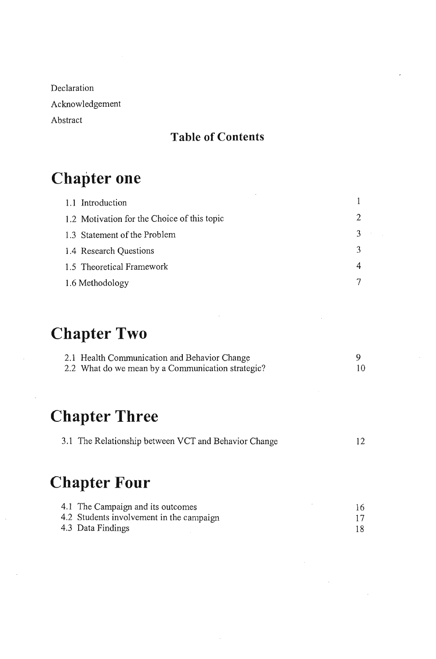Declaration Acknowledgement Abstract

## **Table of Contents**

## **Chapter one**

| 1.1 Introduction                            |    |
|---------------------------------------------|----|
| 1.2 Motivation for the Choice of this topic |    |
| 1.3 Statement of the Problem                | ্ব |
| 1.4 Research Questions                      | ্ব |
| 1.5 Theoretical Framework                   |    |
| 1.6 Methodology                             |    |

## **Chapter Two**

| 2.1 Health Communication and Behavior Change      |     |
|---------------------------------------------------|-----|
| 2.2 What do we mean by a Communication strategic? | 10. |

## **Chapter Three**

| 3.1 The Relationship between VCT and Behavior Change |  |
|------------------------------------------------------|--|
|                                                      |  |

## **Chapter Four**

| 4.1 The Campaign and its outcomes        |  |
|------------------------------------------|--|
| 4.2 Students involvement in the campaign |  |
| 4.3 Data Findings                        |  |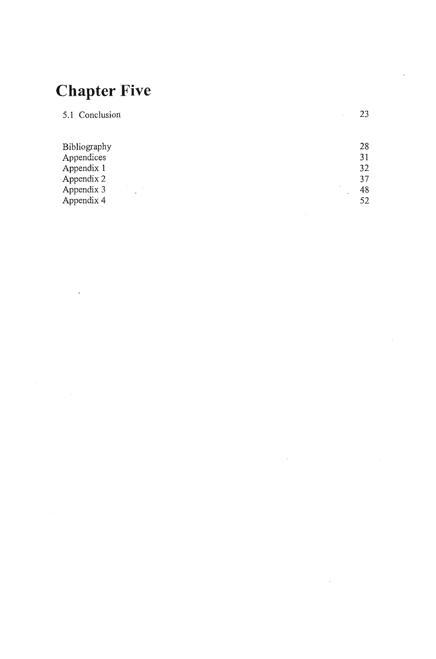## **Chapter Five**

 $\ddot{\phantom{a}}$ 

| 5.1 Conclusion | 23           |
|----------------|--------------|
|                |              |
| Bibliography   | 28           |
| Appendices     | 31           |
| Appendix 1     | 32           |
| Appendix 2     | 37           |
| Appendix 3     | 48<br>$\sim$ |
| Appendix 4     | 52           |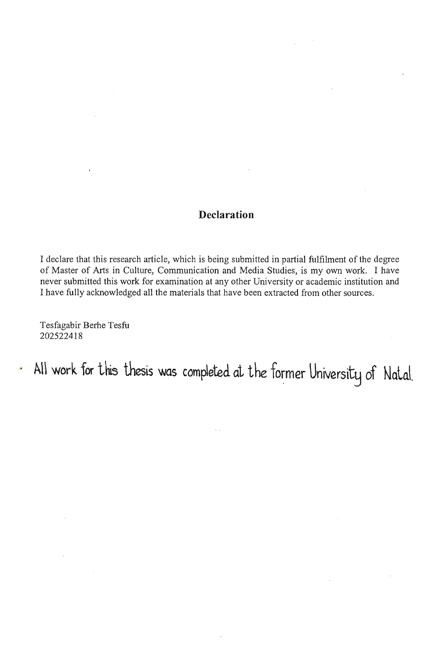#### **Declaration**

I declare that this research article, which is being submitted in partial fulfilment of the degree of Master of Arts in Culture, Communication and Media Studies, is my own work. I have never submitted this work for examination at any other University or academic institution and I have fully acknowledged all the materials that have been extracted from other sources.

Tesfagabir Berhe Tesfu 202522418

All work for this thesis was completed at the former University of Natal.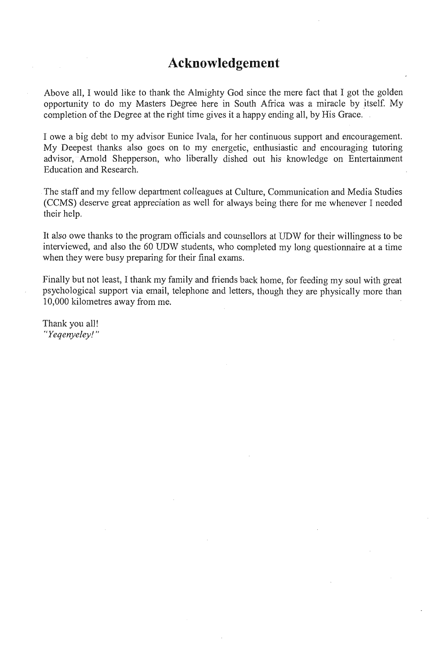### **Acknowledgement**

Above all, I would like to thank the Almighty God since the mere fact that I got the golden opportunity to do my Masters Degree here in South Africa was a miracle by itself. My completion of the Degree at the right time gives it a happy ending all, by His Grace.

I owe a big debt to my advisor Eunice Ivala, for her continuous support and encouragement. My Deepest thanks also goes on to my energetic, enthusiastic and encouraging tutoring advisor, Arnold Shepperson, who liberally dished out his knowledge on Entertainment Education and Research.

The staff and my fellow department colleagues at Culture, Communication and Media Studies (CCMS) deserve great appreciation as well for always being there for me whenever I needed their help.

It also owe thanks to the program officials and counsellors at UDW for their willingness to be interviewed, and also the 60 UDW students, who completed my long questionnaire at a time when they were busy preparing for their final exams.

Finally but not least, I thank my family and friends back home, for feeding my soul with great psychological support via email, telephone and letters, though they are physically more than 10,000 kilometres away from me.

Thank you all! *"Yeqenyeley! "*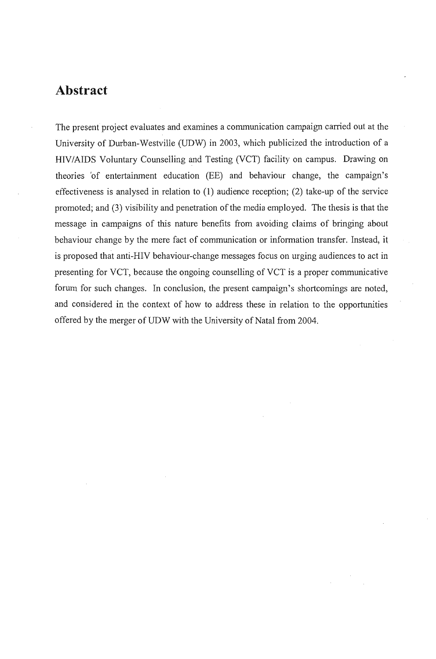### **Abstract**

The present project evaluates and examines a communication campaign carried out at the University of Durban-Westville (UDW) in 2003, which publicized the introduction of a HIV/AIDS Voluntary Counselling and Testing (VCT) facility on campus. Drawing on theories 'of entertainment education (EE) and behaviour change, the campaign's effectiveness is analysed in relation to (1) audience reception; (2) take-up of the service promoted; and (3) visibility and penetration of the media employed. The thesis is that the message in campaigns of this nature benefits from avoiding claims of bringing about behaviour change by the mere fact of communication or information transfer. Instead, it is proposed that anti-H1V behaviour-change messages focus on urging audiences to act in presenting for VCT, because the ongoing counselling of VCT is a proper communicative forum for such changes. In conclusion, the present campaign's shortcomings are noted, and considered in the context of how to address these in relation to the opportunities offered by the merger of UDW with the University of Natal from 2004.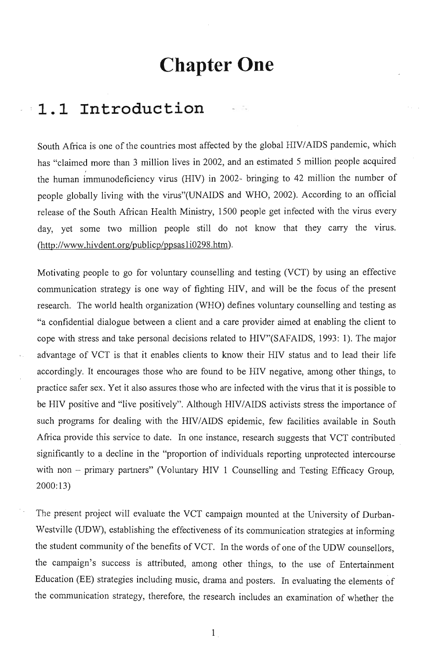## **Chapter One**

## ,. : **1. 1 Introduction**

South Africa is one of the countries most affected by the global HIV/AIDS pandemic, which has "claimed more than 3 million lives in 2002, and an estimated 5 million people acquired the human immunodeficiency virus (HIV) in 2002- bringing to 42 million the number of people globally living with the virus"(UNAIDS and WHO, 2002). According to an official release of the South African Health Ministry, 1500 people get infected with the virus every day, yet some two million people still do not know that they carry the virus. (http://www.hivdent.org/publicp/ppsasli0298.htm).

Motivating people to go for voluntary counselling and testing (VCT) by using an effective communication strategy is one way of fighting HIV, and will be the focus of the present research. The world health organization (WHO) defines voluntary counselling and testing as "a confidential dialogue between a client and a care provider aimed at enabling the client to cope with stress and take personal decisions related to HIV"(SAFAIDS, 1993: 1). The major advantage of VCT is that it enables clients to know their HIV status and to lead their life accordingly; It encourages those who are found to be HIV negative, among other things, to practice safer sex. Yet it also assures those who are infected with the virus that it is possible to be HIV positive and "live positively". Although HIV/AIDS activists stress the importance of such programs for dealing with the HIV/AIDS epidemic, few facilities available in South Africa provide this service to date. In one instance, research suggests that VCT contributed significantly to a decline in the "proportion of individuals reporting unprotected intercourse with non - primary partners" (Voluntary HIV 1 Counselling and Testing Efficacy Group, 2000:13)

The present project will evaluate the VCT campaign mounted at the University of Durban-Westville (UDW), establishing the effectiveness of its communication strategies at informing the student community of the benefits of VCT. In the words of one of the UDW counsellors, the campaign's success is attributed, among other things, to the use of Entertainment Education (EE) strategies including music, drama and posters. In evaluating the elements of the communication strategy, therefore, the research includes an examination of whether the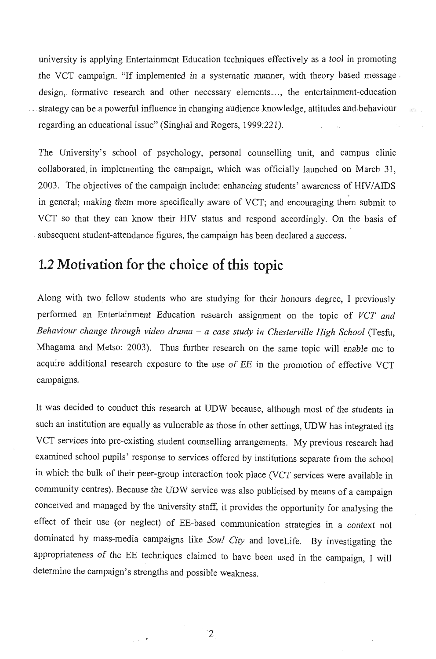university is applying Entertainment Education techniques effectively as a tool in promoting the VCT campaign. "If implemented in a systematic manner, with theory based message. design, formative research and other necessary elements..., the entertainment-education strategy can be a powerful influence in changing audience knowledge, attitudes and behaviour. regarding an educational issue" (Singhal and Rogers, 1999:221).

The University's school of psychology, personal counselling unit, and campus clinic collaborated, in implementing the campaign, which was officially launched on March 31, 2003. The objectives of the campaign include: enhancing students' awareness of HIV/AIDS in general; making them more specifically aware of VCT; and encouraging them submit to VCT so that they can know their HIV status and respond accordingly. On the basis of subsequent student-attendance figures, the campaign has been declared a success.

## **1.2 Motivation for the choice of this topic**

Along with two fellow students who are studying for their honours degree, I previously performed an Entertainment Education research assignment on the topic of *VCT and Behaviour change through video drama* - *a case study in Chesterville High School* (Tesfu, Mhagama and Metso: 2003). Thus further research on the same topic will enable me to acquire additional research exposure to the use of EE in the promotion of effective VCT campaigns.

It was decided to conduct this research at UDW because, although most of the students in such an institution are equally as vulnerable as those in other settings, UDW has integrated its VCT services into pre-existing student counselling arrangements. My previous research had examined school pupils' response to services offered by institutions separate from the school in which the bulk of their peer-group interaction took place (VCT services were available in community centres). Because the UDW service was also publicised by means of a campaign conceived and managed by the university staff, it provides the opportunity for analysing the effect of their use (or neglect) of EE-based communication strategies in a context not dominated by mass-media campaigns like *Soul City* and 10veLife. By investigating the appropriateness of the EE techniques claimed to have been used in the campaign, I will determine the campaign's strengths and possible weakness.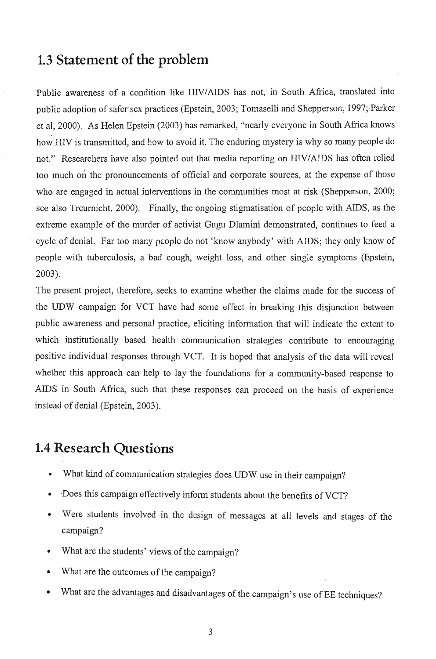## **1.3 Statement of the problem**

Public awareness of a condition like HN/AIDS has not, in South Africa, translated into public adoption of safer sex practices (Epstein, 2003; Tomaselli and Shepperson, 1997; Parker et aI, 2000). As Helen Epstein (2003) has remarked, "nearly everyone in South Africa knows how HIV is transmitted, and how to avoid it. The enduring mystery is why so many people do not." Researchers have also pointed out that media reporting on HIV/AIDS has often relied too much on the pronouncements of official and corporate sources, at the expense of those who are engaged in actual interventions in the communities most at risk (Shepperson, 2000; see also Treumicht, 2000). Finally, the ongoing stigmatisation of people with AIDS, as the extreme example of the murder of activist Gugu Dlamini demonstrated, continues to feed a . cycle of denial. Far too many' people do not 'know anybody' with AIDS; they only know of people with tuberculosis, a bad cough, weight loss, and other single symptoms (Epstein, 2003).

The present project, therefore, seeks to examine whether the claims made for the success of the UDW campaign for VCT have had some effect in breaking this disjunction between public awareness and personal practice, eliciting information that will indicate the extent to which institutionally based health communication strategies contribute to encouraging positive individual responses through VCT. It is hoped that analysis of the data will reveal whether this approach can help to lay the foundations for a community-based response to AIDS in South Africa, such that these responses can proceed on the basis of experience instead of denial (Epstein, 2003).

### **1.4 Research Questions**

- What kind of communication strategies does UDW use in their campaign?
- Does this campaign effectively inform students about the benefits of VCT?  $\bullet$
- Were students involved in the design of messages at all levels and stages of the  $\bullet$ campaign?
- What are the students' views of the campaign?
- What are the outcomes of the campaign?
- What are the advantages and disadvantages of the campaign's use of EE techniques?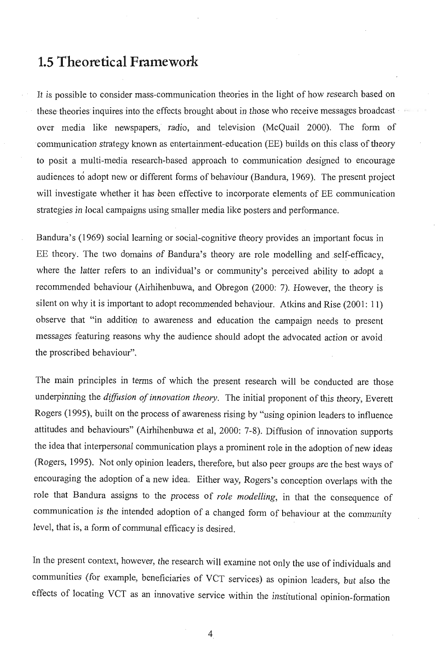## **1.5 Theoretical Framework**

It is possible to consider mass-communication theories in the light of how research based on these theories inquires into the effects brought about in those who receive messages broadcast over media like newspapers, radio, and television (McQuail 2000). The form of communication strategy known as entertainment-education (EE) builds on this class of theory to posit a multi-media research-based approach to communication designed to encourage audiences to adopt new or different forms of behaviour (Bandura, 1969). The present project will investigate whether it has been effective to incorporate elements of EE communication strategies in local campaigns using smaller media like posters and performance.

Bandura's (1969) social learning or social-cognitive theory provides an important focus in EE theory. The two domains of Bandura's theory are role modelling and self-efficacy, where the latter refers to an individual's or community's perceived ability to adopt a recommended behaviour (Airhihenbuwa, and Obregon (2000: 7). However, the theory is silent on why it is important to adopt recommended behaviour. Atkins and Rise (2001: 11) observe that "in addition to awareness and education the campaign needs to present messages featuring reasons why the audience should adopt the advocated action or avoid the proscribed behaviour".

The main principles in terms of which the present research will be conducted are those underpinning the *diffusion of innovation theory.* The initial proponent of this theory, Everett Rogers (1995), built on the process of awareness rising by "using opinion leaders to influence attitudes and behaviours" (Airhihenbuwa et aI, 2000: 7-8). Diffusion of innovation supports the idea that interpersonal communication plays a prominent role in the adoption of new ideas (Rogers, 1995). Not only opinion leaders, therefore, but also peer groups are the best ways of encouraging the adoption of a new idea; Either way, Rogers's conception overlaps with the role that Bandura assigns to the process of *role modelling,* in that the consequence of communication is the intended adoption of a changed form of behaviour at the community level, that is, a form of communal efficacy is desired.

In the present context, however, the research will examine not only the use of individuals and communities (for example, beneficiaries of VCT services) as opinion leaders, but also the effects of locating VCT as an innovative service within the institutional opinion-formation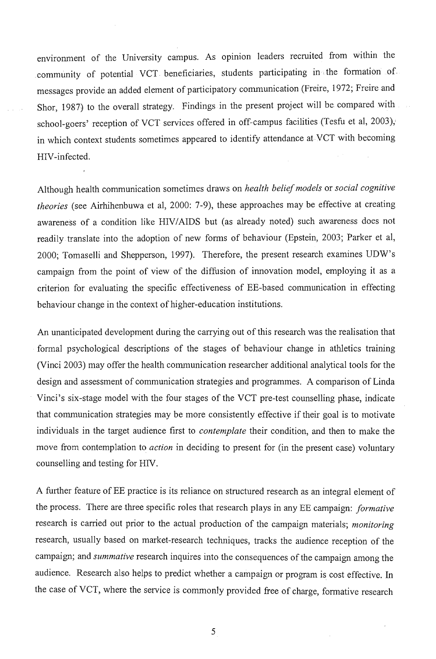environment of the University campus. As opinion leaders recruited from within the community of potential VCT heneficiaries, students participating in ; the formation of. messages provide an added element of participatory communication (Freire, 1972; Freire and Shor, 1987) to the overall strategy. Findings in the present project will be compared with school-goers' reception of VCT services offered in off-campus facilities (Tesfu et al, 2003), in which context students sometimes appeared to identify attendance at VCT with becoming HIV -infected.

Although health communication sometimes draws on *health belief models* or *social cognitive theories* (see Airhihenbuwa et aI, 2000: 7-9), these approaches may be effective at creating awareness of a condition like HIV/AIDS but (as already noted) such awareness does not readily translate into the adoption of new forms of behaviour (Epstein, 2003; Parker et al, 2000; Tomaselli and Shepperson, 1997). Therefore, the present research examines UDW's campaign from the point of view of the diffusion of innovation model, employing it as a criterion for evaluating the specific effectiveness of EE-based communication in effecting behaviour change in the context of higher-education institutions.

An unanticipated development during the carrying out of this research was the realisation that , formal psychological descriptions of the stages of behaviour change in athletics training (Vinci 2003) may offer the health communication researcher additional analytical tools for the design and assessment of communication strategies and programmes. A comparison of Linda Vinci's six-stage model with the four stages of the VCT pre-test counselling phase, indicate that communication strategies may be more consistently effective if their goal is to motivate individuals in the target audience first to *contemplate* their condition, and then to make the move from contemplation to *action* in deciding to present for (in the present case) voluntary counselling and testing for HIV.

A further feature of EE practice is its reliance on structured research as an integral element of the process. There are three specific roles that research plays in any EEcampaign: *formative*  research is carried out prior to the actual production of the campaign materials; *monitoring*  research, usually based on market-research techniques, tracks the audience reception of the campaign; and *summative* research inquires into the consequences of the campaign among the audience. Research also helps to predict whether a campaign or program is cost effective. In the case of VCT, where the service is commonly provided free of charge, formative research

5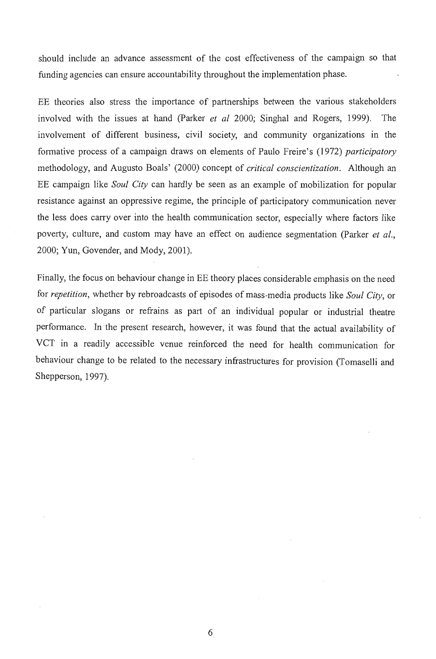should include an advance assessment of the cost effectiveness of the campaign so that funding agencies can ensure accountability throughout the implementation phase.

EE theories also stress the importance of partnerships between the vanous stakeholders involved with the issues at hand (parker *et al* 2000; Singhal and Rogers, 1999). The involvement of different business, civil society, and community organizations in the formative process of a campaign draws on elements of Paulo Freire's (1972) *participatory* methodology, and Augusto Boals' (2000) concept of *critical conscientization.* Although an EE campaign like *Soul City* can hardly be seen as an example of mobilization for popular resistance against an oppressive regime, the principle of participatory communication never the less does carry over into the health communication sector, especially where factors like poverty, culture, and custom may have an effect on audience segmentation (Parker *et al.*, 2000; Yun, Govender, and Mody, 2001).

Finally, the focus on behaviour change in EE theory places considerable emphasis on the need for *repetition,* whether by rebroadcasts of episodes of mass-media products like *Soul City,* or of particular slogans or refrains as part of an individual popular or industrial theatre performance. In the present research, however, it was found that the actual availability of VCT in a readily accessible venue reinforced the need for health communication for behaviour change to be related to the necessary infrastructures for provision (Tomaselli and Shepperson, 1997).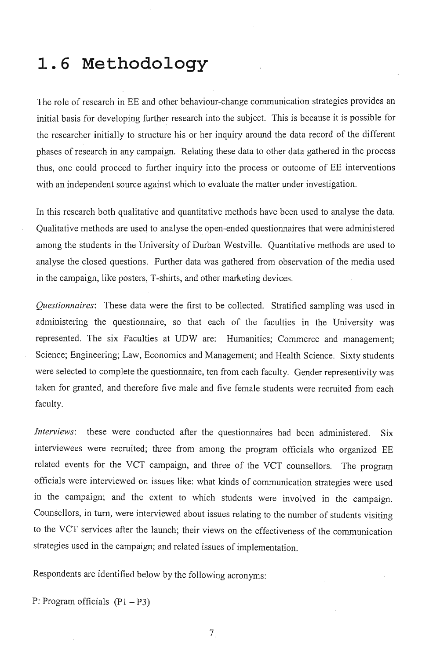## **1.6 Methodology**

The role of research in EE and other behaviour-change communication strategies provides an initial basis for developing further research into the subject. This is because it is possible for the researcher initially to structure his or her inquiry around the data record of the different phases of research in any campaign. Relating these data to other data gathered in the process thus, one could proceed to further inquiry into the process or outcome of EE interventions with an independent source against which to evaluate the matter under investigation.

In this research both qualitative and quantitative methods have been used to analyse the data. Qualitative methods are used to analyse the open-ended questionnaires that were administered among the students in the University of Durban Westville. Quantitative methods are used to analyse the closed questions. Further data was gathered from observation of the media used in the campaign, like posters, T-shirts, and other marketing devices.

*Questionnaires:* These data were the first to be collected. Stratified sampling was used in administering the questionnaire, so that each of the faculties in the University was represented. The six Faculties at UDW are: Humanities; Commerce and management; Science; Engineering; Law, Economics and Management; and Health Science. Sixty students were selected to complete the questionnaire, ten from each faculty. Gender representivity was taken for granted, and therefore five male and five female students were recruited from each faculty.

*Interviews:* these were conducted after the questionnaires had been administered. Six interviewees were recruited; three from among the program officials who organized EE related events for the VCT campaign, and three of the VCT counsellors. The program officials were interviewed on issues like: what kinds of communication strategies were used in the campaign; and the extent to which students were involved in the campaign. Counsellors, in turn, were interviewed about issues relating to the number of students visiting to the VCT services after the launch; their views on the effectiveness of the communication strategies used in the campaign; and related issues of implementation.

Respondents are identified below by the following acronyms:

P: Program officials  $(P1 - P3)$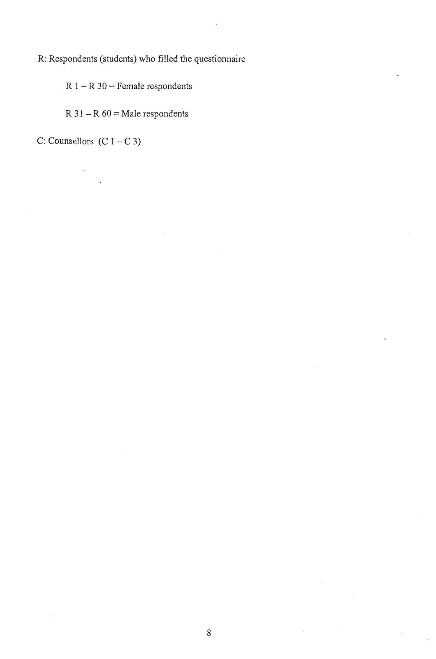R: Respondents (students) who filled the questionnaire

 $R$  1 –  $R$  30 = Female respondents

 $R$  31 –  $R$  60 = Male respondents

C: Counsellors  $(C 1 - C 3)$ 

 $\overline{1}$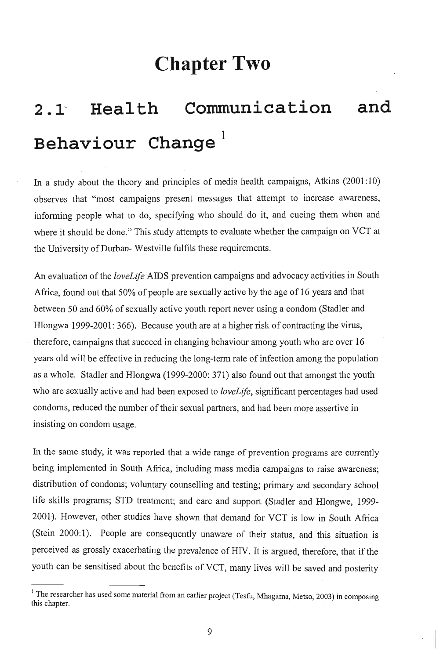## **Chapter Two**

# 2.1 Health Communication and **Behaviour change <sup>1</sup>**

In a study about the theory and principles of media health campaigns, Atkins  $(2001:10)$ observes that "most campaigns present messages that attempt to increase awareness, informing people what to do, specifying who should do it, and cueing them when and where it should be done." This study attempts to evaluate whether the campaign on VCT at the University of Durban- Westville fulfils these requirements.

An evaluation of the *loveLife* AIDS prevention campaigns and advocacy activities in South Africa, found out that 50% of people are sexually active by the age of 16 years and that between 50 and 60% of sexually active youth report never using a condom (Stadler and Hlongwa 1999-2001: 366). Because youth are at a higher risk of contracting the virus, therefore, campaigns that succeed in changing behaviour among youth who are over 16 years old will be effective in reducing the long-term rate of infection among the population as a whole. Stadler and Hlongwa (1999-2000: 371) also found out that amongst the youth who are sexually active and had been exposed to *loveLife,* significant percentages had used condoms, reduced the number of their sexual partners, and had been more assertive in insisting on condom usage.

In the same study, it was reported that a wide range of prevention programs are currently being implemented in South Africa, including mass media campaigns to raise awareness; distribution of condoms; voluntary counselling and testing; primary and secondary school life skills programs; STD treatment; and care and support (Stadler and Hlongwe, 1999- 2001). However, other studies have shown that demand for VCT is low in South Africa (Stein 2000:1). People are consequently unaware of their status, and this situation is perceived as grossly exacerbating the prevalence of HIV. It is argued, therefore, that if the youth can be sensitised about the benefits of VCT, many lives will be saved and posterity

<sup>&</sup>lt;sup>1</sup> The researcher has used some material from an earlier project (Tesfu, Mhagama, Metso, 2003) in composing this chapter.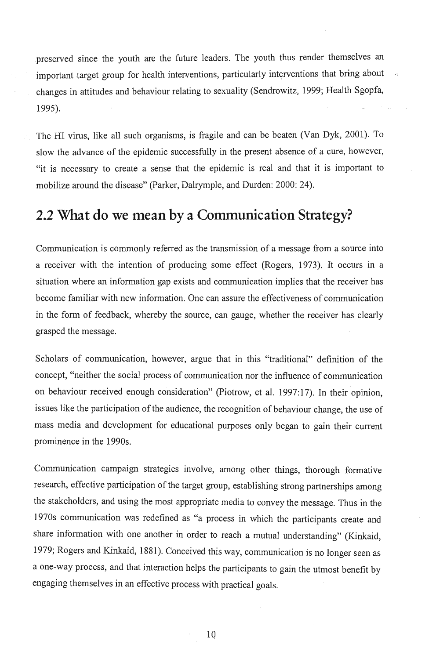preserved since the youth are the future leaders. The youth thus render themselves an important target group for health interventions, particularly interventions that bring about changes in attitudes and behaviour relating to sexuality (Sendrowitz, 1999; Health Sgopfa, 1995).

The HI virus, like all such organisms, is fragile and can be beaten (Van Dyk, 2001). To slow the advance of the epidemic successfully in the present absence of a cure, however, "it is necessary to create a sense that the epidemic is real and that it is important to mobilize around the disease" (Parker, Dalrymple, and Durden: 2000: 24).

## **2.2 What do we mean by a Communication Strategy?**

Communication is commonly referred as the transmission of a message from a source into a receiver with the intention of producing some effect (Rogers, 1973). It occurs in a situation where an information gap exists and communication implies that the receiver has become familiar with new information. One can assure the effectiveness of communication in the form of feedback, whereby the source, can gauge, whether the receiver has clearly grasped the message.

Scholars of communication, however, argue that in this "traditional" definition of the concept, "neither the social process of communication nor the influence of communication on behaviour received enough consideration" (Piotrow, et al. 1997:17). In their opinion, issues like the participation of the audience, the recognition of behaviour change, the use of mass media and development for educational purposes only began to gain their current prominence in the 1990s.

Communication campaign strategies involve, among other things, thorough formative research, effective participation of the target group, establishing strong partnerships among the stakeholders, and using the most appropriate media to convey the message. Thus in the 1970s communication was redefined as "a process in which the participants create and share information with one another in order to reach a mutual understanding" (Kinkaid, 1979; Rogers and Kinkaid, 1881). Conceived this way, communication is no longer seen as a one-way process, and that interaction helps the participants to gain the utmost benefit by engaging themselves in an effective process with practical goals.

10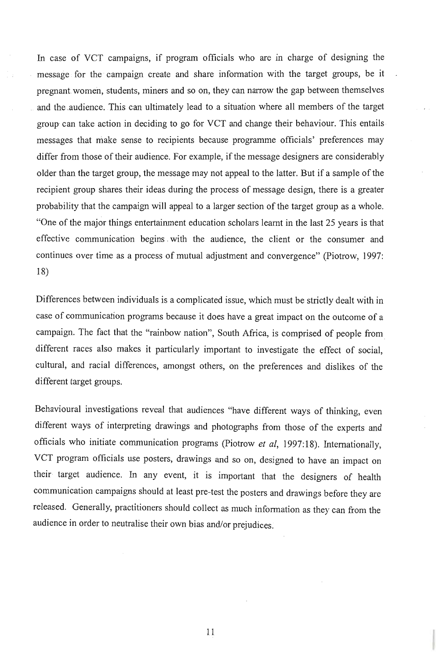In case of VCT campaigns, if program officials who are in charge of designing the message for the campaign create and share information with the target groups, be it pregnant women, students, miners and so on, they can narrow the gap between themselves and the audience. This can ultimately lead to a situation where all members of the target group can take action in deciding to go for VCT and change their behaviour. This entails messages that make sense to recipients because programme officials' preferences may differ from those of their audience. For example, if the message designers are considerably older than the target group, the message may not appeal to the latter. But if a sample of the recipient group shares their ideas during the process of message design, there is a greater probability that the campaign will appeal to a larger section of the target group as a whole. "One of the major things entertainment education scholars learnt in the last 25 years is that effective communication begins , with the audience, the client or the consumer and continues over time as a process of mutual adjustment and convergence" (Piotrow, 1997: 18)

Differences between individuals is a complicated issue, which must be strictly dealt with in case of communication programs because it does have a great impact on the outcome of a campaign. The fact that the "rainbow nation", South Africa, is comprised of people from different races also makes it particularly important to investigate the effect of social, cultural, and racial differences, amongst others, on the preferences and dislikes of the different target groups.

Behavioural investigations reveal that audiences "have different ways of thinking, even different ways of interpreting drawings and photographs from those of the experts and officials who initiate communication programs (Piotrow *et ai,* 1997:18). Internationally, VCT program officials use posters, drawings and so on, designed to have an impact on their target audience. In any event, it is important that the designers of health communication campaigns should at least pre-test the posters and drawings before they are released. Generally, practitioners should collect as much information as they can from the audience in order to neutralise their own bias and/or prejudices.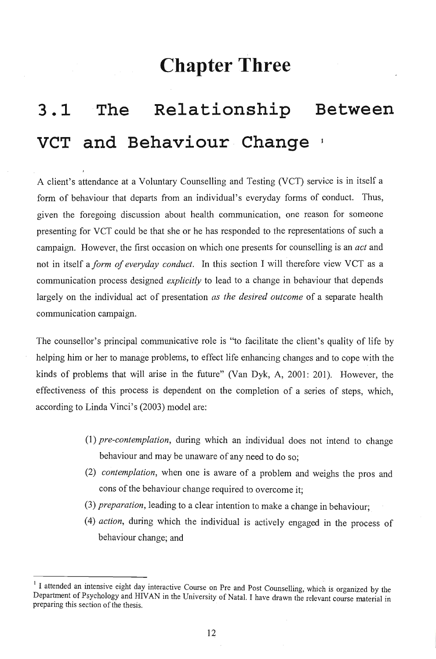## **Chapter Three**

# **3.1 The Relationship Between VCT and Behaviour Change**

A client's attendance at a Voluntary Counselling and Testing (VCT) service is in itself a form of behaviour that departs from an individual's everyday forms of conduct. Thus, given the foregoing discussion about health communication, one reason for someone presenting for VCT could be that she or he has responded to the representations of such a campaign. However, the first occasion on which one presents for counselling is an *act* and not in itself a *form of everyday conduct.* In this section I will therefore view VCT as a communication process designed *explicitly* to lead to a change in behaviour that depends largely on the individual act of presentation *as the desired outcome* of a separate health communication campaign.

The counsellor's principal communicative role is "to facilitate the client's quality of life by helping him or her to manage problems, to effect life enhancing changes and to cope with the kinds of problems that will arise in the future" (Van Dyk, A, 2001: 201). However, the effectiveness of this process is dependent on the completion of a series of steps, which, according to Linda Vinci's (2003) model are:

- *(1) pre-contemplation,* during which an individual does not intend to change behaviour and may be unaware of any need to do so;
- *(2) contemplation,* when one is aware of a problem and weighs the pros and cons of the behaviour change required to overcome it;
- *(3) preparation,* leading to a clear intention to make a change in behaviour;
- (4) *action,* during which the individual is actively engaged in the process of behaviour change; and

<sup>&</sup>lt;sup>1</sup> I attended an intensive eight day interactive Course on Pre and Post Counselling, which is organized by the Department of Psychology and HIV AN in the University of Natal. I have drawn the relevant course material in preparing this section of the thesis.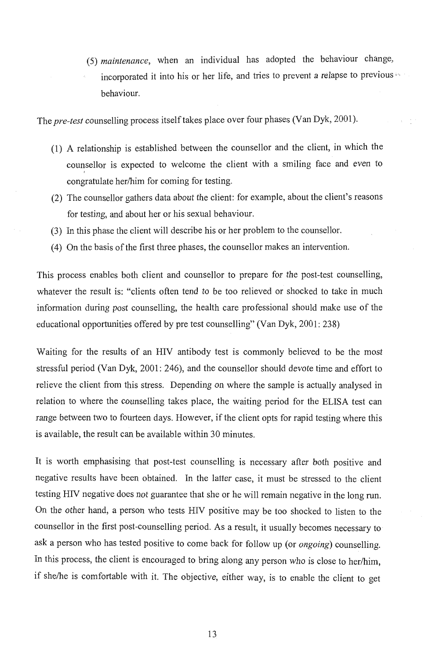*(5) maintenance,* when an individual has adopted the behaviour change, incorporated it into his or her life, and tries to prevent a relapse to previous  $\cdot$ behaviour.

The *pre-test* counselling process itself takes place over four phases (Van Dyk, 2001).

- (1) A relationship is established between the counsellor and the client, in which the counsellor is expected to welcome the client with a smiling face and even to I congratulate her/him for coming for testing.
- (2) The counsellor gathers data about the client: for example, about the client's reasons for testing, and about her or his sexual behaviour.
- (3) In this phase the client will describe his or her problem to the counsellor.
- (4) On the basis of the first three phases, the counsellor makes an intervention.

This process enables both client and counsellor to prepare for the post-test counselling, whatever the result is: "clients often tend to be too relieved or shocked to take in much information during post counselling, the health care professional should make use of the educational opportunities offered by pre test counselling" (Van Dyk, 2001: 238)

Waiting for the results of an HIV antibody test is commonly believed to be the most stressful period (Van Dyk, 2001: 246), and the counsellor should devote time and effort to relieve the client from this stress. Depending on where the sample is actually analysed in relation to where the counselling takes place, the waiting period for the ELISA test can range between two to fourteen days. However, if the client opts for rapid testing where this is available, the result can be available within 30 minutes.

It is worth emphasising that post-test counselling is necessary after both positive and negative results have been obtained. In the latter case, it must be stressed to the client testing HIV negative does not guarantee that she or he will remain negative in the long run. On the other hand, a person who tests HIV positive may be too shocked to listen to the counsellor in the first post-counselling period. As a result, it usually becomes necessary to ask a person who has tested positive to come back for follow up (or *ongoing)* counselling. In this process, the client is encouraged to bring along any person who is close to her/him, if she/he is comfortable with it. The objective, either way, is to enable the client to get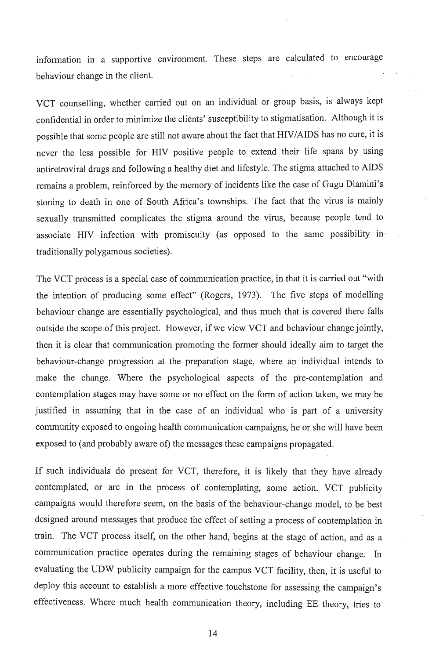information in a supportive environment. These steps are calculated to encourage behaviour change in the client.

VCT counselling, whether carried out on an individual or group basis, is always kept confidential in order to minimize the clients' susceptibility to stigmatisation. Although it is possible that some people are still not aware about the fact that HIV/AIDS has no cure, it is never the less possible for HIV positive people to extend their life spans by using antiretroviral drugs and following a healthy diet and lifestyle. The stigma attached to AIDS remains a problem, reinforced by the memory of incidents like the case of Gugu Dlamini's stoning to death in one of South Africa's townships. The fact that the virus is mainly sexually transmitted complicates the stigma around the virus, because people tend to associate HIV infection with promiscuity (as opposed to the same possibility in traditionally polygamous societies).

The VCT process is a special case of communication practice, in that it is carried out "with the intention of producing some effect" (Rogers, 1973). The five steps of modelling behaviour change are essentially psychological, and thus much that is covered there falls outside the scope of this project. However, if we view VCT and behaviour change jointly, then it is clear that communication promoting the former should ideally aim to target the behaviour-change progression at the preparation stage, where an individual intends to make the change. Where the psychological aspects of the pre-contemplation and contemplation stages may have some or no effect on the form of action taken, we may be justified in assuming that in the case of an individual who is part of a university community exposed to ongoing health communication campaigns, he or she will have been exposed to (and probably aware of) the messages these campaigns propagated.

If such individuals do present for VCT, therefore, it is likely that they have already contemplated, or are in the process of contemplating, some action. VCT publicity campaigns would therefore seem, on the basis of the behaviour-change model, to be best designed around messages that produce the effect of setting a process of contemplation in train. The VCT process itself, on the other hand, begins at the stage of action, and as a communication practice operates during the remaining stages of behaviour change. In evaluating the UDW publicity campaign for the campus VCT facility, then, it is useful to deploy this account to establish a more effective touchstone for assessing the campaign's effectiveness. Where much health communication theory, including EE theory, tries to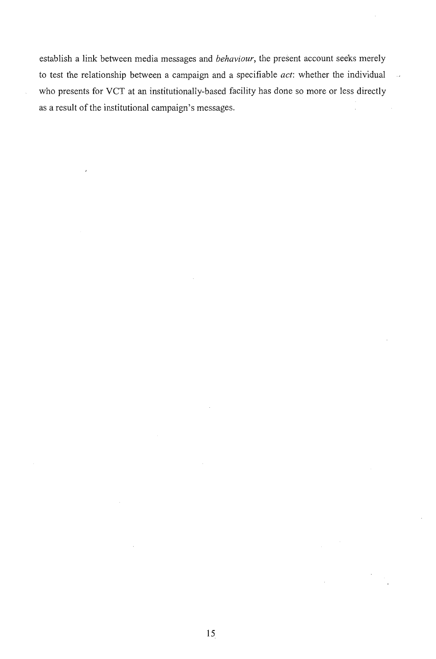establish a link between media messages and *behaviour,* the present account seeks merely to test the relationship between a campaign and a specifiable *act:* whether the individual who presents for VCT at an institutionally-based facility has done so more or less directly as a result of the institutional campaign's messages.

 $\ddot{\phantom{a}}$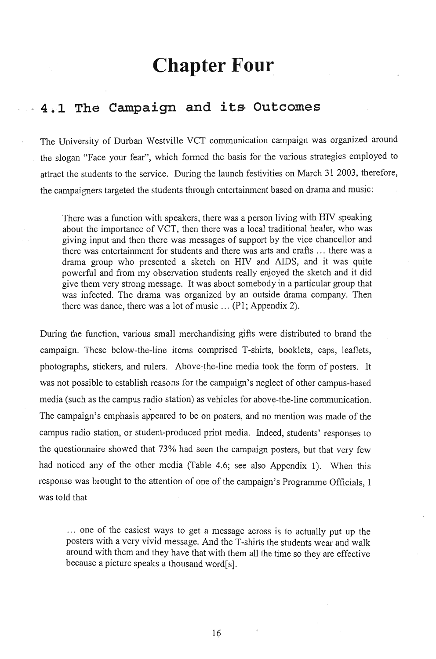## **Chapter Four**

### . ~ 4 ,, ·1 · The **Campaign and** its, **Outcomes**

The University of Durban Westville YCT communication campaign was organized around the slogan "Face your fear", which formed the basis for the various strategies employed to attract the students to the service. During the launch festivities on March 31 2003, therefore, the campaigners targeted the students through entertainment based on drama and music:

There was a function with speakers, there was a person living with RIY speaking about the importance of YCT, then there was a local traditional healer, who was giving input and then there was messages of support by the vice chancellor and there was entertainment for students and there was arts and crafts ... there was a drama group who presented a sketch on RIV and AIDS, and it was quite powerful and from my observation students really enjoyed the sketch and it did give them very strong message. It was about somebody in a particular group that was infected. The drama was organized by an outside drama company. Then there was dance, there was a lot of music  $\ldots$  (P1; Appendix 2).

During the function, various small merchandising gifts were distributed to brand the campaign. These below-the-line items comprised T-shirts, booklets, caps, leaflets, photographs, stickers, and rulers. Above-the-line media took the form of posters. It was not possible to establish reasons for the campaign's neglect of other campus-based media (such as the campus radio station) as vehicles for above-the-line communication.<br>The campaign's emphasis appeared to be on posters, and no mention was made of the campus radio station, or student-produced print media. Indeed, students' responses to the questionnaire showed that 73% had seen the campaign posters, but that very few had noticed any of the other media (Table 4.6; see also Appendix 1). When this response was brought to the attention of one of the campaign's Programme Officials, I was told that

... one of the easiest ways to get a message across is to actually put up the posters with a very vivid message. And the T-shirts the students wear and walk around with them and they have that with them all the time so they are effective because a picture speaks a thousand word[ s].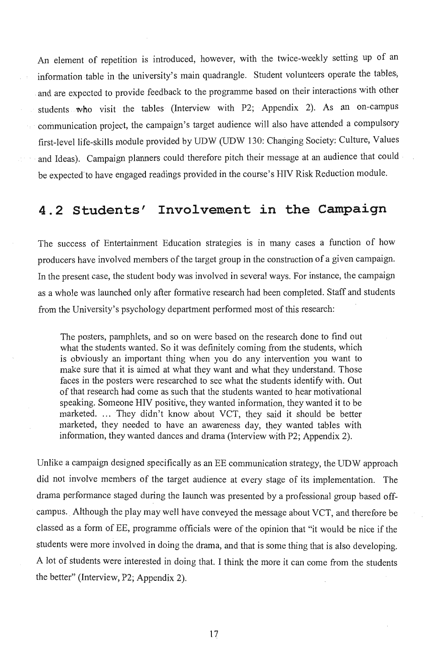An element of repetition is introduced, however, with the twice-weekly setting up of an information table in the university's main quadrangle. Student volunteers operate the tables; and are expected to provide feedback to the programme based on their interactions with other students who visit the tables (Interview with P2; Appendix 2). As an on-campus communication project, the campaign's target audience will also have attended a compulsory first-level life-skills module provided by UDW (UDW 130: Changing Society: Culture, Values and Ideas). Campaign planners could therefore pitch their message at an audience that could be expected'to have engaged readings provided in the course's HIV Risk Reduction module.

### 4.2 Students' Involvement in the Campaign

The success of Entertainment Education strategies is in many cases a function of how producers have involved members of the target group in the construction of a given campaign. In the present case, the student body was involved in several ways. For instance, the campaign as a whole was launched only after formative research had been completed. Staff and students from the University's psychology department performed most of this research:

The posters, pamphlets, and so on were based on the research done to find out what the students wanted. So it was definitely coming from the students, which is obviously an important thing when you do any intervention you want to make sure that it is aimed at what they want and what they understand. Those faces in the posters were researched to see what the students identify with. Out of that research had come as such that the students wanted to hear motivational speaking. Someone HIV positive, they wanted information, they wanted it to be marketed. ... They didn't know about VCT, they said it should be better marketed, they needed to have an awareness day, they wanted tables with information, they wanted dances and drama (Interview with P2; Appendix 2).

Unlike a campaign designed specifically as an EE communication strategy, the UDW approach did not involve members of the target audience at every stage of its implementation. The drama performance staged during the launch was presented by a professional group based offcampus. Although the play may well have conveyed the message about VCT, and therefore be classed as a form of EE, programme officials were of the opinion that "it would be nice if the students were more involved in doing the drama, and that is some thing that is also developing. A lot of students were interested in doing that. I think the more it can come from the students the better" (Interview, P2; Appendix 2).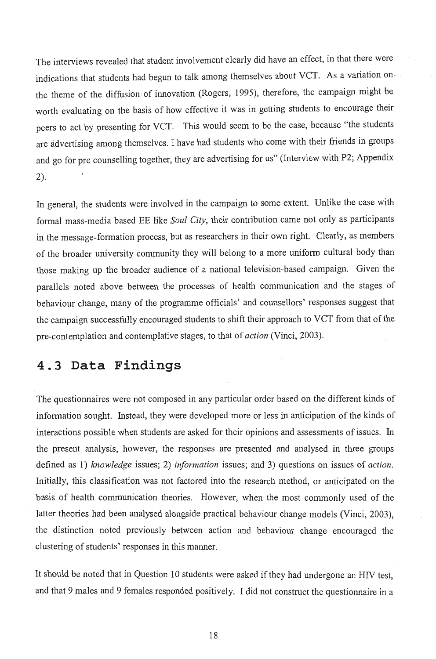The interviews revealed that student involvement clearly did have an effect, in that there were indications that students had begun to talk among themselves about VCT. As a variation onthe theme of the diffusion of innovation (Rogers, 1995), therefore, the campaign might be worth evaluating on the basis of how effective it was in getting students to encourage their peers to -act by presenting for VCT. This would seem to be the case, because "the students are advertising among themselves. I have had students who come with their friends in groups and go for pre counselling together, they are advertising for us" (Interview with P2; Appendix 2).

In general, the students were involved in the campaign to some extent. Unlike the case with formal mass-media based EE like *Soul City,* their contribution came not only as participants in the message-formation process, but as researchers in their own right. Clearly, as members of the broader university community they will belong to a more uniform cultural body than those making up the broader audience of a national television-based campaign. Given the parallels noted above between the processes of health communication and the stages of behaviour change, many of the programme officials' and counsellors' responses suggest that the campaign successfully encouraged students to shift their approach to VCT from that of the pre-contemplation and contemplative stages, to that of *action* (Vinci, 2003).

### **4.3 Data Findings**

The questionnaires were not composed in any particular order based on the different kinds of information sought. Instead, they were developed more or less in anticipation of the kinds of interactions possible when students are asked for their opinions and assessments of issues. In the present analysis, however, the responses are presented and analysed in three groups defined as 1) *knowledge* issues; 2) *information* issues; and 3) questions on issues of *action.*  Initially, this classification was not factored into the research method, or anticipated on the basis of health communication theories. However, when the most commonly used of the latter theories had been analysed alongside practical behaviour change models (Vinci, 2003), the distinction noted previously between action and behaviour change encouraged the clustering of students' responses in this manner.

It should be noted that in Question 10 students were asked if they had undergone an HIV test, and that 9 males and 9 females responded positively. I did not construct the questionnaire in a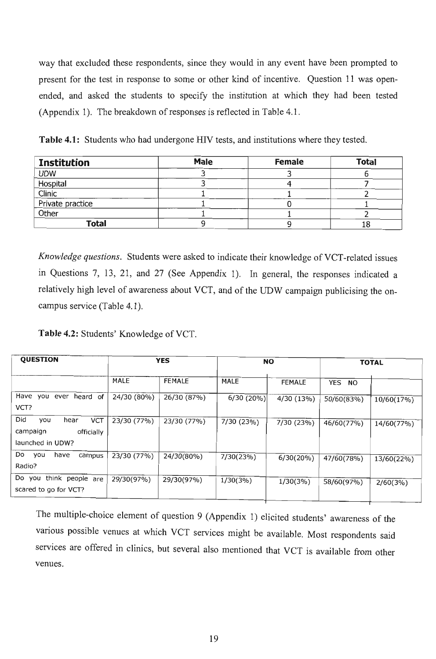way that excluded these respondents, since they would in any event have been prompted to present for the test in response to some or other kind of incentive. Question 11 was openended, and asked the students to specify the institution at which they had been tested (Appendix 1). The breakdown of responses is reflected in Table 4.1 .

**Table 4.1:** Students who had undergone HIV tests, and institutions where they tested.

| <b>Institution</b> | <b>Male</b> | <b>Female</b> | <b>Total</b> |
|--------------------|-------------|---------------|--------------|
| <b>UDW</b>         |             |               |              |
| Hospital           |             |               |              |
| Clinic             |             |               |              |
| Private practice   |             |               |              |
| Other              |             |               |              |
| Total              |             |               |              |

*Knowledge questions.* Students were asked to indicate their knowledge of VCT-related issues in Questions 7, 13, 21, and 27 (See Appendix 1). In general, the responses indicated a relatively high level of awareness about VCT, and of the UDW campaign publicising the oncampus service (Table 4.1).

Table 4.2: Students' Knowledge of VCT.

| <b>QUESTION</b>                                                                |             | <b>YES</b>    | <b>NO</b>   |               | <b>TOTAL</b>            |            |
|--------------------------------------------------------------------------------|-------------|---------------|-------------|---------------|-------------------------|------------|
|                                                                                | MALE        | <b>FEMALE</b> | <b>MALE</b> | <b>FEMALE</b> | <b>YES</b><br><b>NO</b> |            |
| Have<br>you ever heard of<br>VCT?                                              | 24/30 (80%) | 26/30 (87%)   | 6/30(20%)   | 4/30 (13%)    | 50/60(83%)              | 10/60(17%) |
| Did<br><b>VCT</b><br>you<br>hear<br>campaign<br>officially<br>launched in UDW? | 23/30 (77%) | 23/30 (77%)   | 7/30 (23%)  | 7/30 (23%)    | 46/60(77%)              | 14/60(77%) |
| Do<br>you<br>have<br>campus<br>Radio?                                          | 23/30 (77%) | 24/30(80%)    | 7/30(23%)   | $6/30(20\%)$  | 47/60(78%)              | 13/60(22%) |
| Do you think people are<br>scared to go for VCT?                               | 29/30(97%)  | 29/30(97%)    | 1/30(3%)    | $1/30(3\%)$   | 58/60(97%)              | 2/60(3%)   |

The multiple-choice element of question 9 (Appendix 1) elicited students' awareness of the various possible venues at which VCT services might be available. Most respondents said services are offered in clinics, but several also mentioned that VCT is available from other venues.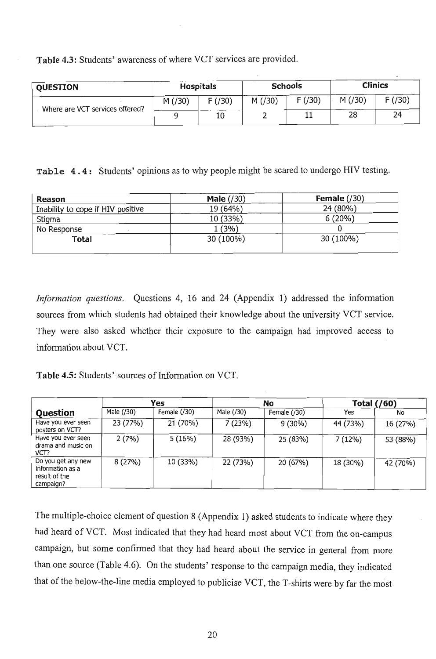Table 4.3: Students' awareness of where VCT services are provided.

| <b>OUESTION</b>                 | <b>Hospitals</b> |        | <b>Schools</b> |        | <b>Clinics</b> |        |
|---------------------------------|------------------|--------|----------------|--------|----------------|--------|
| Where are VCT services offered? | M(730)           | F(730) | M(730)         | F(730) | M(730)         | F(730) |
|                                 |                  | 10     |                | 11     | 28             | 24     |

Table 4.4: Students' opinions as to why people might be scared to undergo HIV testing.

| <b>Reason</b>                     | Male $(730)$ | Female $(\frac{30}{5})$ |
|-----------------------------------|--------------|-------------------------|
| Inability to cope if HIV positive | 19 (64%)     | 24 (80%)                |
| Stigma                            | 10 (33%)     | 6(20%)                  |
| No Response                       | . (3%)       |                         |
| Total                             | 30 (100%)    | 30 (100%)               |
|                                   |              |                         |

*Information questions.* Questions 4, 16 and 24 (Appendix 1) addressed the information sources from which students had obtained their knowledge about the university VCT service. They were also asked whether their exposure to the campaign had improved access to information about VCT.

Table 4.5: Students' sources of Information on VCT.

|                                                                      |            | Yes           |            | No            | <b>Total (/60)</b> |          |
|----------------------------------------------------------------------|------------|---------------|------------|---------------|--------------------|----------|
| <b>Question</b>                                                      | Male (/30) | Female $(30)$ | Male (/30) | Female $(30)$ | Yes                | No.      |
| Have you ever seen<br>posters on VCT?                                | 23 (77%)   | 21 (70%)      | 7(23%)     | 9(30%)        | 44 (73%)           | 16 (27%) |
| Have you ever seen<br>drama and music on<br>VCT?                     | 2(7%)      | 5(16%)        | 28 (93%)   | 25 (83%)      | 7 (12%)            | 53 (88%) |
| Do you get any new<br>information as a<br>result of the<br>campaign? | 8 (27%)    | 10 (33%)      | 22 (73%)   | 20 (67%)      | 18 (30%)           | 42 (70%) |

The multiple-choice element of question 8 (Appendix 1) asked students to indicate where they had heard of VCT. Most indicated that they had heard most about VCT from the on-campus campaign, but some confirmed that they had heard about the service in general from more than one source (Table 4.6). On the students' response to the campaign media, they indicated that of the below-the-line media employed to publicise VCT, the T-shirts were by far the most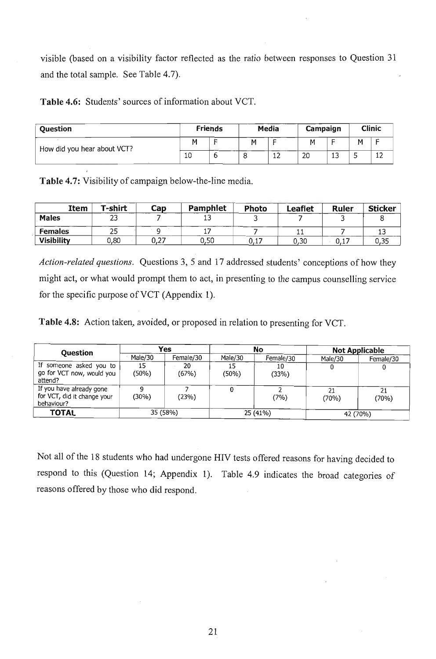visible (based on a visibility factor reflected as the ratio between responses to Question 31 and the total sample. See Table 4.7).

**Table 4.6:** Students' sources of information about VCT.

| <b>Ouestion</b>             |    | <b>Friends</b> | Media |    | Campaign       |          |                          | Clinic                        |
|-----------------------------|----|----------------|-------|----|----------------|----------|--------------------------|-------------------------------|
| How did you hear about VCT? |    | -              | м     |    | м              |          | м                        |                               |
|                             | 10 | ◡              |       | 12 | 2 <sub>C</sub> | 1 C<br>ᆠ | $\overline{\phantom{a}}$ | $\overline{\phantom{0}}$<br>ᅩ |

**Table 4.7:** Visibility of campaign below-the-line media.

| Item              | T-shirt | Cap  | Pamphlet | <b>Photo</b> | <b>Leaflet</b> | Ruler | <b>Sticker</b> |
|-------------------|---------|------|----------|--------------|----------------|-------|----------------|
| <b>Males</b>      | رے      |      | ᆠ        |              |                |       |                |
| <b>Females</b>    | 25      |      |          |              |                |       |                |
| <b>Visibility</b> | 0.80    | U,Z1 | 0,50     | 0,17         | 0,30           | U, L  | 0,35           |

*Action-related questions.* Questions 3, 5 and 17 addressed students' conceptions of how they might act, or what would prompt them to act, in presenting to the campus counselling service for the specific purpose of VCT (Appendix 1).

**Table 4.8:** Action taken, avoided, or proposed in relation to presenting for VCT.

| <b>Question</b>                                                       | Yes         |             | No          |             | <b>Not Applicable</b> |             |
|-----------------------------------------------------------------------|-------------|-------------|-------------|-------------|-----------------------|-------------|
|                                                                       | Male/30     | Female/30   | Male/30     | Female/30   | Male/30               | Female/30   |
| If someone asked you to<br>go for VCT now, would you<br>attend?       | 15<br>(50%) | 20<br>(67%) | 15<br>(50%) | 10<br>(33%) |                       |             |
| If you have already gone<br>for VCT, did it change your<br>behaviour? | (30%)       | (23%)       |             | (7%)        | 21<br>(70%)           | 21<br>(70%) |
| TOTAL                                                                 | 35 (58%)    |             | 25 (41%)    |             | 42 (70%)              |             |

Not all of the 18 students who had undergone HIV tests offered reasons for having decided to respond to this (Question 14; Appendix 1). Table 4.9 indicates the broad categories of reasons offered by those who did respond.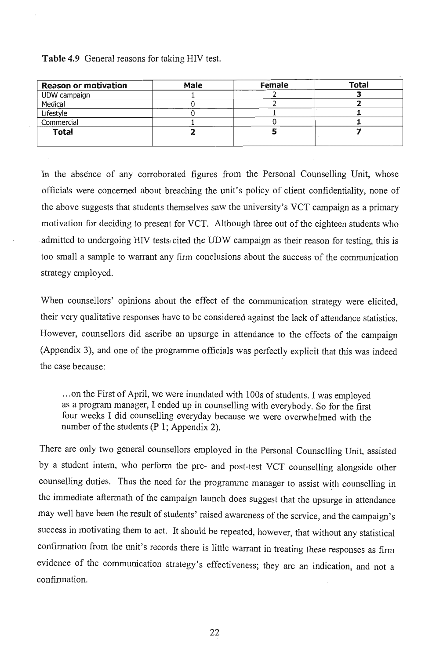#### **Table 4.9** General reasons for taking HIV test.

| <b>Reason or motivation</b> | <b>Male</b> | Female | <b>Total</b> |
|-----------------------------|-------------|--------|--------------|
| UDW campaign                |             |        |              |
| Medical                     |             |        |              |
| Lifestyle                   |             |        |              |
| Commercial                  |             |        |              |
| <b>Total</b>                |             |        |              |

In the absence of any corroborated figures from the Personal Counselling Unit, whose officials were concerned about breaching the unit's policy of client confidentiality, none of the above suggests that students themselves saw the university's VCT campaign as a primary motivation for deciding to present for VCT. Although three out of the eighteen students who admitted to undergoing HIV tests cited the UDW campaign as their reason for testing, this is too small a sample to warrant any firm conclusions about the success of the communication strategy employed.

When counsellors' opinions about the effect of the communication strategy were elicited, their very qualitative responses have to be considered against the lack of attendance statistics. However, counsellors did ascribe an upsurge in attendance to the effects of the campaign (Appendix 3), and one of the programme officials was perfectly explicit that this was indeed the case because:

... on the First of April, we were inundated with lOOs of students. I was employed as a program manager, I ended up in counselling with everybody. So for the first four weeks I did counselling everyday because we were overwhelmed with the number of the students  $(P_1; Appendix 2)$ .

There are only two general counsellors employed in the Personal Counselling Unit, assisted by a student intern, who perform the pre- and post-test VCT counselling alongside other counselling duties. Thus the need for the programme manager to assist with counselling in the immediate aftermath of the campaign launch does suggest that the upsurge in attendance may well have been the result of students' raised awareness of the service, and the campaign's success in motivating them to act. It should be repeated, however, that without any statistical confirmation from the *unit's* records there is little warrant *in* treating these responses as firm evidence of the communication strategy's effectiveness; they are an indication, and not a confirmation.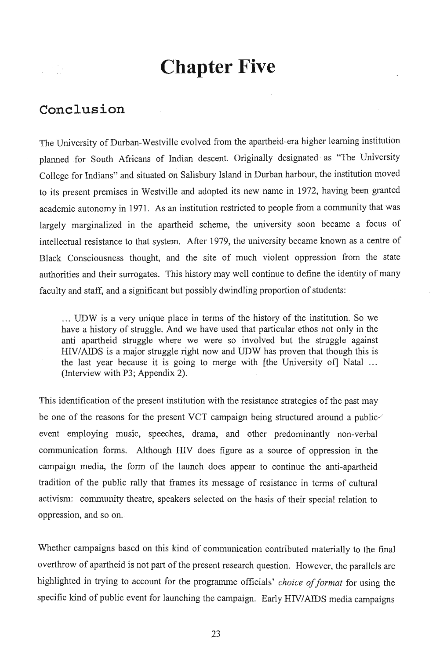## **Chapter Five**

### **Conclusion**

The University of Durban-Westville evolved from the apartheid-era higher learning institution planned for South Africans of Indian descent. Originally designated as "The University College for Indians" and situated on Salisbury Island in Durban harbour, the institution moved to its present premises in Westville and adopted its new name in 1972, having been granted academic autonomy in 1971. As an institution restricted to people from a community that was largely marginalized in the apartheid scheme, the university soon became a focus of intellectual resistance to that system. After 1979, the university became known as a centre of Black Consciousness thought, and the site of much violent oppression from the state authorities and their surrogates. This history may well continue to define the identity of many faculty and staff, and a significant but possibly dwindling proportion of students:

... UDW is a very unique place in terms of the history of the institution. So we have a history of struggle. And we have used that particular ethos not only in the anti apartheid struggle where we were so involved but the struggle against HIV/AIDS is a major struggle right now and UDW has proven that though this is the last year because it is going to merge with [the University of] Natal ... (Interview with P3; Appendix 2).

This identification of the present institution with the resistance strategies of the past may be one of the reasons for the present VCT campaign being structured around a public event employing music, speeches, drama, and other predominantly non-verbal communication forms. Although HN does figure as a source of oppression in the campaign media, the form of the launch does appear to continue the anti-apartheid tradition of the public rally that frames its message of resistance in terms of cultural activism: community theatre, speakers selected on the basis of their special relation to oppression, and so on.

Whether campaigns based on this kind of communication contributed materially to the final overthrow of apartheid is not part of the present research question. However, the parallels are highlighted in trying to account for the programme officials' *choice of format* for using the specific kind of public event for launching the campaign. Early HIV/AIDS media campaigns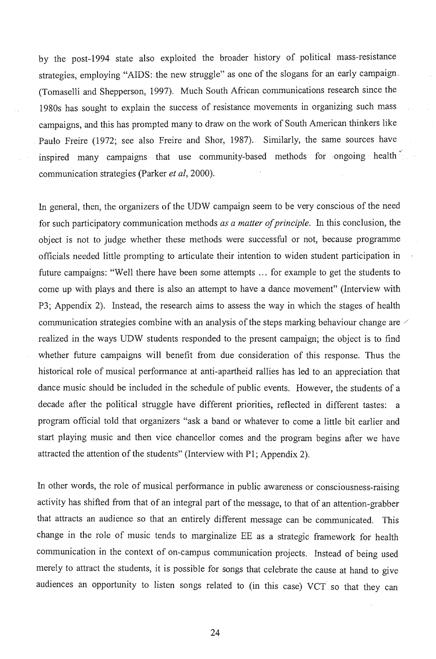by the post-1994 state also exploited the broader history of political mass-resistance strategies, employing "AIDS: the new struggle" as one of the slogans for an early campaign - . (Tomaselli and Shepperson, 1997). Much South African communications research since the 1980s has sought to explain the success of resistance movements in organizing such mass campaigns, and this has prompted many to draw on the work of South American thinkers like  $P_{\text{min}}$  (1972; see also Freire and Shor, 1987). Similarly, the same sources have  $\sigma$ ,  $\sigma$  bininary, the same sources have inspired many campaigns that use community-based methods for ongoing health communication strategies (parker *et aI, 2000).* 

In general, then, the organizers of the UDW campaign seem to be very conscious of the need for such participatory communication methods *as a matter of principle.* In this conclusion, the object is not to judge whether these methods were successful or not, because programme officials needed little prompting to articulate their intention to widen student participation in future campaigns: "Well there have been some attempts ... for example to get the students to come up with plays and there is also an attempt to have a dance movement" (Interview with P3; Appendix 2). Instead, the research aims to assess the way in which the stages of health communication strategies combine with an analysis of the steps marking behaviour change are  $\vee$ realized in the ways UDW students responded to the present campaign; the object is to find whether future campaigns will benefit from due consideration of this response. Thus the historical role of musical performance at anti-apartheid rallies has led to an appreciation that dance music should be included in the schedule of public events. However, the students of a decade after the political struggle have different priorities, reflected in different tastes: a program official told that organizers "ask a band or whatever to come a little bit earlier and start playing music and then vice chancellor comes and the program begins after we have attracted the attention of the students" (Interview with PI; Appendix 2).

In other words, the role of musical performance in public awareness or consciousness-raising activity has shifted from that of an integral part of the message, to that of an attention-grabber that attracts an audience so that an entirely different message can be communicated. This change in the role of music tends to marginalize EE as a strategic framework for health communication in the context of on-campus communication projects. Instead of being used merely to attract the students, it is possible for songs that celebrate the cause at hand to give audiences an opportunity to listen songs related to (in this case) VCT so that they can

24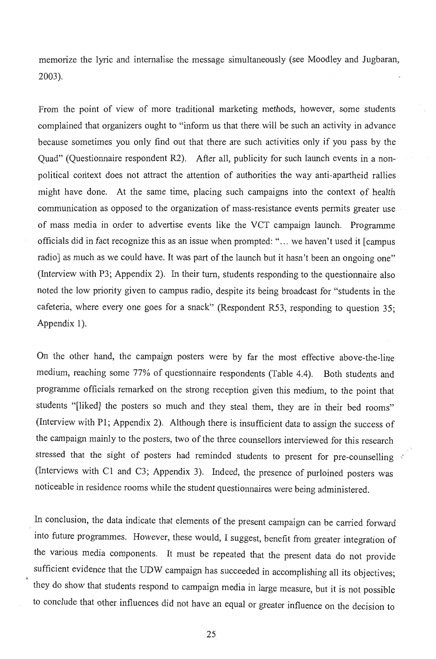memorize the lyric and internalise the message simultaneously (see Moodley and Jugbaran, 2003).

From the point of view of more traditional marketing methods, however, some students complained that organizers ought to "inform us that there will be such an activity in advance because sometimes you only find out that there are such activities only if you pass by the Quad" (Questionnaire respondent R2). After all, publicity for such launch events in a nonpolitical context does not attract the attention of authorities the way anti-apartheid rallies might have done. At the same time, placing such campaigns into the context of health communication as opposed to the organization of mass-resistance events permits greater use of mass media in order to advertise events like the VCT campaign launch. Programme officials did in fact recognize this as an issue when prompted: " ... we haven't used it [campus radio] as much as we could have. It was part of the launch but it hasn't been an ongoing one" (Interview with P3; Appendix 2). In their turn, students responding to the questionnaire also noted the low priority given to campus radio, despite its being broadcast for "students in the cafeteria, where every one goes for a snack" (Respondent R53, responding to question 35; Appendix I).

On the other hand, the campaign posters were by far the most effective above-the-line medium, reaching some 77% of questionnaire respondents (Table 4.4). Both students and programme officials remarked on the strong reception given this medium, to the point that students "[liked] the posters so much and they steal them, they are in their bed rooms" (Interview with PI; Appendix 2). Although there is insufficient data to assign the success of the campaign mainly to the posters, two of the three counsellors interviewed for this research stressed that the sight of posters had reminded students to present for pre-counselling  $\vee$ (Interviews with Cl and C3; Appendix 3). Indeed, the presence of purloined posters was noticeable in residence rooms while the student questionnaires were being administered.

In conclusion, the data indicate that elements of the present campaign can be carried forward into future programmes. However, these would, I suggest, benefit from greater integration of . the various media components. It must be repeated that the present data do not provide sufficient evidence that the UDW campaign has succeeded in accomplishing all its objectives; they do show that students respond to campaign media in large measure, but it is not possible to conclude that other influences did not have an equal or greater influence on the decision to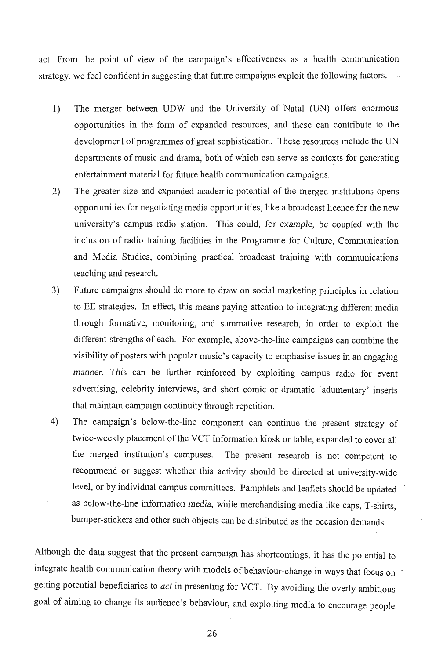act. From the point of view of the campaign's effectiveness as a health communication strategy, we feel confident in suggesting that future campaigns exploit the following factors.

- 1) The merger between UDW and the University of Natal (UN) offers enormous opportunities in the form of expanded resources, and these can contribute to the development of programmes of great sophistication. These resources include the UN departments of music and drama, both of which can serve as contexts for generating entertainment material for future health communication campaigns.
- 2) The greater size and expanded academic potential of the merged institutions opens opportunities for negotiating media opportunities, like a broadcast licence for the new university's campus radio station. This could, for example, be coupled with the inclusion of radio training facilities in the Programme for Culture, Communication and Media Studies, combining practical broadcast training with communications teaching and research.
- 3) Future campaigns should do more to draw on social marketing principles in relation to EE strategies. In effect, this means paying attention to integrating different media through formative, monitoring, and summative research, in order to exploit the different strengths of each. For example, above-the-line campaigns can combine the visibility of posters with popular music's capacity to emphasise issues in an engaging manner. This can be further reinforced by exploiting campus radio for event advertising, celebrity interviews, and short comic or dramatic 'adumentary' inserts that maintain campaign continuity through repetition.
- 4) The campaign's below-the-line component can continue the present strategy of twice-weekly placement of the VCT Information kiosk or table, expanded to cover all the merged institution's campuses. The present research is not competent to recommend or suggest whether this activity should be directed at university-wide level, or by individual campus committees. Pamphlets and leaflets should be updated · as below-the-line information media, while merchandising media like caps, T-shirts, bumper-stickers and other such objects can be distributed as the occasion demands. ·

Although the data suggest that the present campaign has shortcomings, it has the potential to integrate health communication theory with models of behaviour-change in ways that focus on  $\mathbb{R}$ getting potential beneficiaries to *act* in presenting for VCT. By avoiding the overly ambitious goal of aiming to change its audience's behaviour, and exploiting media to encourage people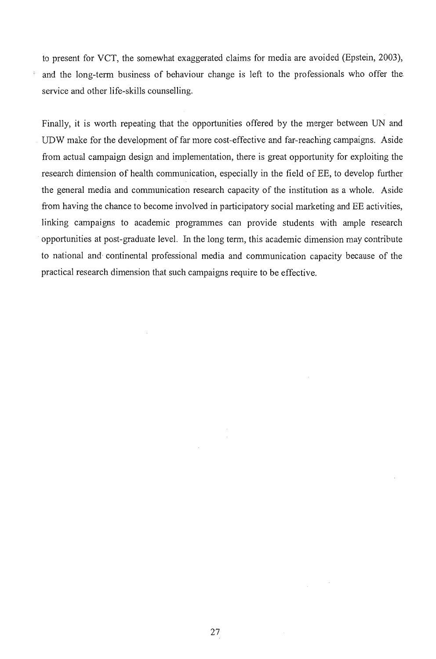to present for VCT, the somewhat exaggerated claims for media are avoided (Epstein, 2003), and the long-term business of behaviour change is left to the professionals who offer the service and other life-skills counselling.

Finally, it is worth repeating that the opportunities offered by the merger between UN and . UDW make for the development of far more cost-effective and far-reaching campaigns. Aside from actual campaign design and implementation, there is great opportunity for exploiting the research dimension of health communication, especially in the field of EE, to develop further the general media and communication research capacity of the institution as a whole. Aside from having the chance to become involved in participatory social marketing and EE activities, linking campaigns to academic programmes can provide students with ample research opportunities at post-graduate level. In the long term, this academic dimension may contribute to national and continental professional media and communication capacity because of the practical research dimension that such campaigns require to be effective.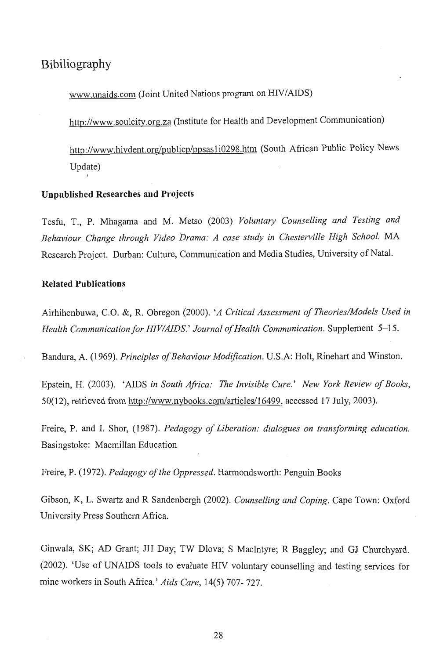### **Bibiliography**

www.unaids.com (Joint United Nations program on HlY/AIDS)

http://www.sou1city.org.za (Institute for Health and Development Communication)

http://www.hivdent.org/publicp/ppsas1i0298.htm (South African Public Policy News Update)

#### **Unpublished Researches and Projects**

Tesfu, T., P. Mhagama and M. Metso (2003) *Voluntary Counselling and Testing and Behaviour Change through Video Drama: A case study in Chesterville High School.* MA Research Project. Durban: Culture, Communication and Media Studies, University of Natal.

#### **Related Publications**

Airhihenbuwa, C.O. &, R. Obregon (2000). *'A Critical Assessment of Theories/Models Used in Health Communication for HIV/AIDS.' Journal of Health Communication.* Supplement 5-15.

Bandura, A. (1969). *Principles of Behaviour Modification.* U.S.A: HoIt, Rinehart and Winston.

Epstein, H. (2003). 'AIDS *in South Africa: The Invisible Cure.' New York Review of Books,*  50(12), retrieved from http://www.nybooks.com/articles/16499, accessed 17 July, 2003).

Freire, P. and I. Shor, (1987). *Pedagogy of Liberation: dialogues on transforming education.*  Basingstoke: Macmillan Education

Freire, P. (1972). *Pedagogy of the Oppressed.* Harmondsworth: Penguin Books

Gibson, K, L. Swartz and R Sandenbergh (2002). *Counselling and Coping.* Cape Town: Oxford University Press Southem Africa.

Ginwala, SK; AD Grant; JH Day; TW Dlova; S MacIntyre; R Baggley; and GJ Churchyard. (2002). 'Use of UNAIDS tools to evaluate HIV voluntary counselling and testing services for mine workers in South Africa.' *Aids Care,* 14(5) 707- 727.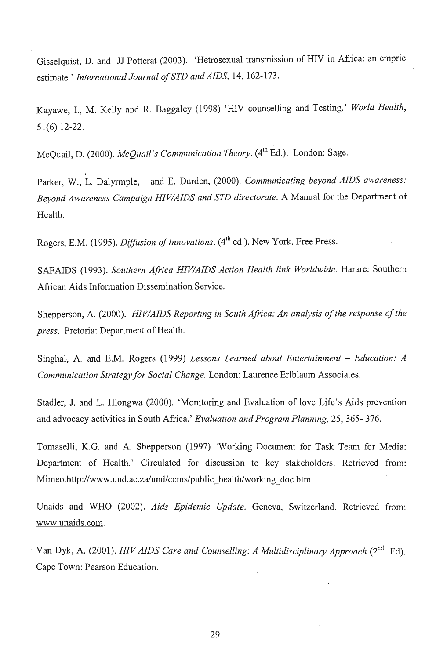Gisselquist, D. and JJ Potterat (2003). 'Hetrosexual transmission of HIV in Africa: an empric estimate.' *International Journal of STD and AIDS,* 14, 162-173.

Kayawe, 1., M. Kelly and R. Baggaley (1998) 'HIV counselling and Testing.' *World Health,*  51(6) 12-22.

McQuail, D. (2000). *McQuail's Communication Theory*. (4<sup>th</sup> Ed.). London: Sage.

Parker, W., L. Dalyrmple, and E. Durden, (2000). *Communicating beyond AIDS awareness: Beyond Awareness Campaign HIVIAIDS and STD directorate.* A Manual for the Department of Health.

Rogers, E.M. (1995). *Diffusion of Innovations*. (4<sup>th</sup> ed.). New York. Free Press.

SAFAIDS (1993). Southern Africa HIV/AIDS Action Health link Worldwide. Harare: Southern African Aids Information Dissemination Service.

Shepperson, A. (2000). *HIVIAIDS Reporting in South Africa: An analysis of the response of the press.* Pretoria: Department of Health.

Singhal, A. and E.M. Rogers (1999) *Lessons Learned about Entertainment – Education: A Communication Strategy for Social Change.* London: Laurence Erlblaum Associates.

Stadler, J. and L. Hlongwa (2000). 'Monitoring and Evaluation of love Life's Aids prevention and advocacy activities in South Africa.' *Evaluation and Program Planning,* 25, 365- 376.

Tomaselli, K.G. and A. Shepperson (1997) Working Document for Task Team for Media: Department of Health.' Circulated for discussion to key stakeholders. Retrieved from: Mimeo.http://www.und.ac.za/und/ccms/public\_health/working\_doc.htm.

Unaids and WHO (2002). *Aids Epidemic Update.* Geneva, Switzerland. Retrieved from: www.unaids.com.

Van Dyk, A. (2001). *HIV AIDS Care and Counselling: A Multidisciplinary Approach* (2<sup>nd</sup> Ed). Cape Town: Pearson Education.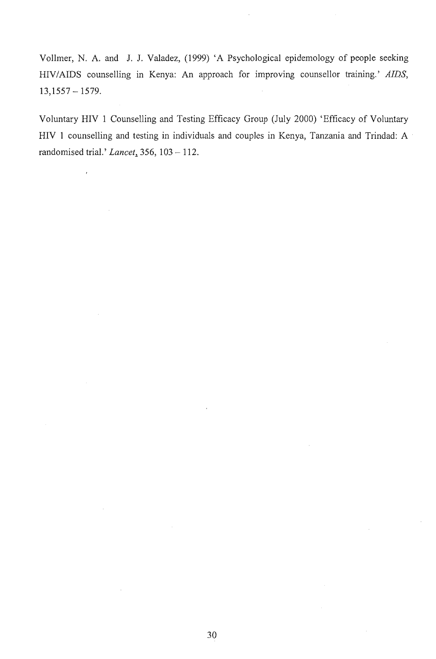Vollmer, N. A. and J. J. Valadez, (1999) 'A Psychological epidemology of people seeking HIV / AIDS counselling in Kenya: An approach for improving counsellor training.' *AIDS,*   $13,1557 - 1579.$ 

Voluntary HIV 1 Counselling and Testing Efficacy Group (July 2000) 'Efficacy of Voluntary HIV 1 counselling and testing in individuals and couples in Kenya, Tanzania and Trindad: A randomised trial.' Lancet,  $356$ ,  $103 - 112$ .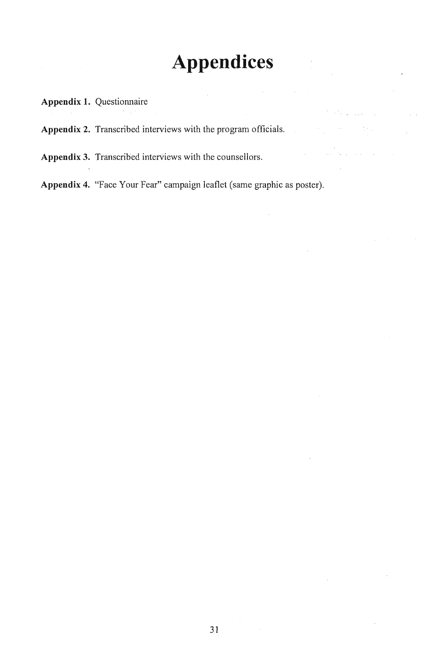## **Appendices**

 $\mathbb{R}^2$ 

### **Appendix 1.** Questionnaire

**Appendix 2.** Transcribed interviews with the program officials.

Appendix 3. Transcribed interviews with the counsellors.

**Appendix 4.** "Face Your Fear" campaign leaflet (same graphic as poster).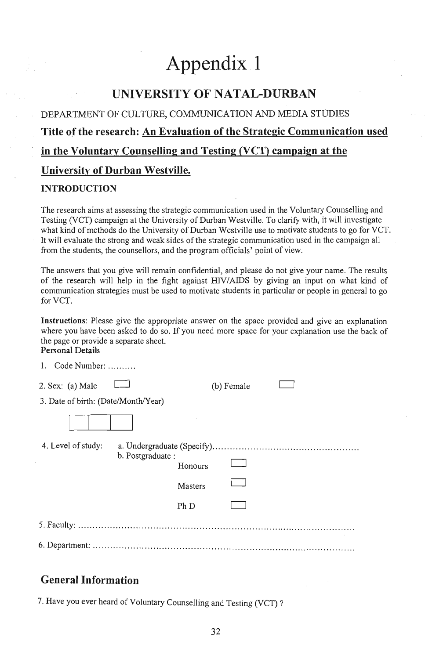## **Appendix 1**

### **UNIVERSITY OF NATAL-DURBAN**

DEPARTMENT OF CULTURE, COMMUNICATION AND MEDIA STUDIES

#### **Title of the research: An Evaluation of the Strategic Communication used**

#### **in the Voluntary Counselling and Testing <YCT)** campaign at **the**

#### **University** of Durban **Westville.**

#### **INTRODUCTION**

The research aims at assessing the strategic communication used in the Voluntary Counselling and Testing (VCT) campaign at the University of Durban Westville. To clarify with, it will investigate what kind of methods do the University of Durban Westville use to motivate students to go for VCT. It will evaluate the strong and weak sides of the strategic communication used in the campaign all from the students, the counsellors, and the program officials' point of view.

The answers that you give will remain confidential, and please do not give your name. The results of the research will help in the fight against HIV/AIDS by giving an input on what kind of communication strategies must be used to motivate students in particular or people in general to go for VCT.

Instructions: Please give the appropriate answer on the space provided and give an explanation where you have been asked to do so. If you need more space for your explanation use the back of the page or provide a separate sheet.

#### Personal Details

| 1. Code Number: $\dots \dots$       |                  |         |            |  |
|-------------------------------------|------------------|---------|------------|--|
| $2.$ Sex: (a) Male                  |                  |         | (b) Female |  |
| 3. Date of birth: (Date/Month/Year) |                  |         |            |  |
|                                     |                  |         |            |  |
| 4. Level of study:                  | b. Postgraduate: | Honours |            |  |
|                                     |                  | Masters |            |  |
|                                     |                  | Ph D    |            |  |
|                                     |                  |         |            |  |
|                                     |                  |         |            |  |

### **General Information**

7. Have you ever heard of Voluntary Counselling and Testing (VCT)?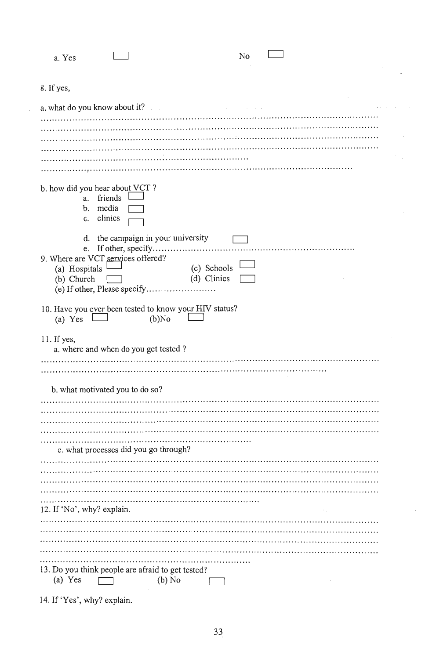| a. Yes                            |                                                                          |          | No                         |          |  |
|-----------------------------------|--------------------------------------------------------------------------|----------|----------------------------|----------|--|
|                                   |                                                                          |          |                            |          |  |
| 8. If yes,                        |                                                                          |          |                            |          |  |
|                                   | a. what do you know about it?                                            |          | and the contract of        |          |  |
|                                   |                                                                          |          |                            |          |  |
|                                   |                                                                          |          |                            |          |  |
|                                   |                                                                          |          |                            |          |  |
|                                   |                                                                          |          |                            |          |  |
|                                   |                                                                          |          |                            |          |  |
| c.                                | b. how did you hear about VCT?<br>a. friends l<br>b. media<br>clinics    |          |                            |          |  |
| e.<br>(a) Hospitals<br>(b) Church | d. the campaign in your university<br>9. Where are VCT services offered? |          | (c) Schools<br>(d) Clinics |          |  |
| (a) Yes                           | 10. Have you ever been tested to know your HIV status?                   | $(b)$ No |                            |          |  |
| 11. If yes,                       | a. where and when do you get tested?                                     |          |                            |          |  |
|                                   |                                                                          |          |                            |          |  |
|                                   |                                                                          |          |                            |          |  |
|                                   |                                                                          |          |                            |          |  |
|                                   | b. what motivated you to do so?                                          |          |                            |          |  |
|                                   |                                                                          |          |                            |          |  |
|                                   |                                                                          |          |                            |          |  |
|                                   |                                                                          |          |                            |          |  |
|                                   | c. what processes did you go through?                                    |          |                            |          |  |
|                                   |                                                                          |          |                            |          |  |
|                                   |                                                                          |          |                            |          |  |
|                                   |                                                                          |          |                            |          |  |
|                                   |                                                                          |          |                            |          |  |
|                                   |                                                                          |          |                            |          |  |
| 12. If 'No', why? explain.        |                                                                          |          |                            | $\sim$ . |  |
|                                   |                                                                          |          |                            |          |  |
|                                   |                                                                          |          |                            |          |  |
|                                   |                                                                          |          |                            |          |  |
|                                   |                                                                          |          |                            |          |  |
|                                   | 13. Do you think people are afraid to get tested?                        |          |                            |          |  |
| (a) Yes                           |                                                                          | (b) No   |                            |          |  |

14. If 'Yes', why? explain.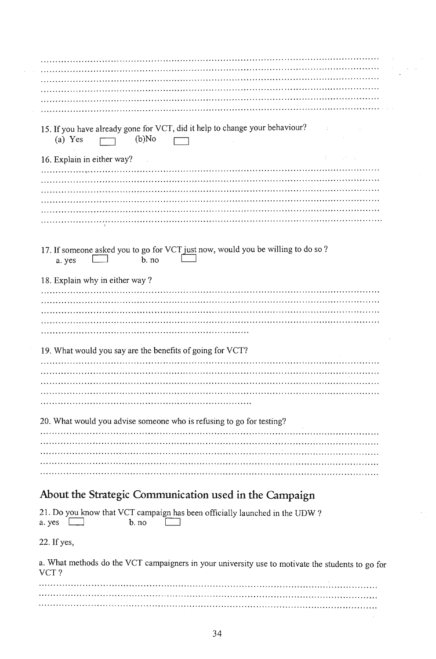| 15. If you have already gone for VCT, did it help to change your behaviour?<br>$(b)$ No<br>(a) Yes       |
|----------------------------------------------------------------------------------------------------------|
| Website<br>16. Explain in either way?                                                                    |
|                                                                                                          |
|                                                                                                          |
|                                                                                                          |
|                                                                                                          |
|                                                                                                          |
|                                                                                                          |
| 17. If someone asked you to go for VCT just now, would you be willing to do so?<br>$b$ . no<br>a. yes    |
| 18. Explain why in either way?                                                                           |
|                                                                                                          |
|                                                                                                          |
|                                                                                                          |
|                                                                                                          |
|                                                                                                          |
| 19. What would you say are the benefits of going for VCT?                                                |
|                                                                                                          |
|                                                                                                          |
|                                                                                                          |
|                                                                                                          |
|                                                                                                          |
| 20. What would you advise someone who is refusing to go for testing?                                     |
|                                                                                                          |
|                                                                                                          |
|                                                                                                          |
|                                                                                                          |
|                                                                                                          |
| About the Strategic Communication used in the Campaign                                                   |
| 21. Do you know that VCT campaign has been officially launched in the UDW?<br>$b$ , no<br>a. yes         |
| 22. If yes,                                                                                              |
| a. What methods do the VCT campaigners in your university use to motivate the students to go for<br>VCT? |
|                                                                                                          |

 $\sim$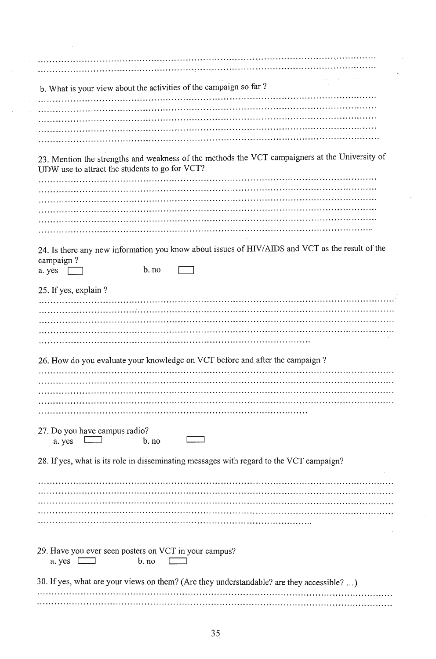| b. What is your view about the activities of the campaign so far?                                            |
|--------------------------------------------------------------------------------------------------------------|
|                                                                                                              |
|                                                                                                              |
|                                                                                                              |
|                                                                                                              |
|                                                                                                              |
| 23. Mention the strengths and weakness of the methods the VCT campaigners at the University of               |
| UDW use to attract the students to go for VCT?                                                               |
|                                                                                                              |
|                                                                                                              |
|                                                                                                              |
|                                                                                                              |
|                                                                                                              |
|                                                                                                              |
| 24. Is there any new information you know about issues of HIV/AIDS and VCT as the result of the<br>campaign? |
| b. no<br>a. yes                                                                                              |
|                                                                                                              |
| 25. If yes, explain?                                                                                         |
|                                                                                                              |
|                                                                                                              |
|                                                                                                              |
|                                                                                                              |
|                                                                                                              |
| 26. How do you evaluate your knowledge on VCT before and after the campaign?                                 |
|                                                                                                              |
|                                                                                                              |
|                                                                                                              |
|                                                                                                              |
|                                                                                                              |
|                                                                                                              |
| 27. Do you have campus radio?                                                                                |
| a. yes<br>b. no                                                                                              |
|                                                                                                              |
| 28. If yes, what is its role in disseminating messages with regard to the VCT campaign?                      |
|                                                                                                              |
|                                                                                                              |
|                                                                                                              |
|                                                                                                              |
|                                                                                                              |
|                                                                                                              |
|                                                                                                              |
| 29. Have you ever seen posters on VCT in your campus?                                                        |
| a. yes [<br>b. no                                                                                            |
|                                                                                                              |
| 30. If yes, what are your views on them? (Are they understandable? are they accessible? )                    |
|                                                                                                              |
|                                                                                                              |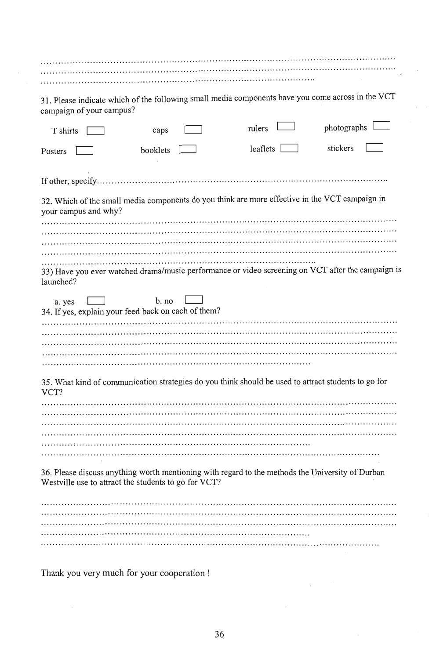the contract of the contract of the contract of the contract of the contract of the contract of the contract of 31. Please indicate which of the following small media components have you come across in the VCT campaign of your campus?  $photography$  $n$ lers  $\Box$ T shirts  $\Gamma$ caps  $leaflets$ booklets **I** stickers Posters  $\square$ 32. Which of the small media components do you think are more effective in the VCT campaign in your campus and why? 33) Have you ever watched drama/music performance or video screening on VCT after the campaign is launched?  $b. no$ a. yes 34. If yes, explain your feed back on each of them? 35. What kind of communication strategies do you think should be used to attract students to go for VCT? 36. Please discuss anything worth mentioning with regard to the methods the University of Durban Westville use to attract the students to go for VCT? 

Thank you very much for your cooperation !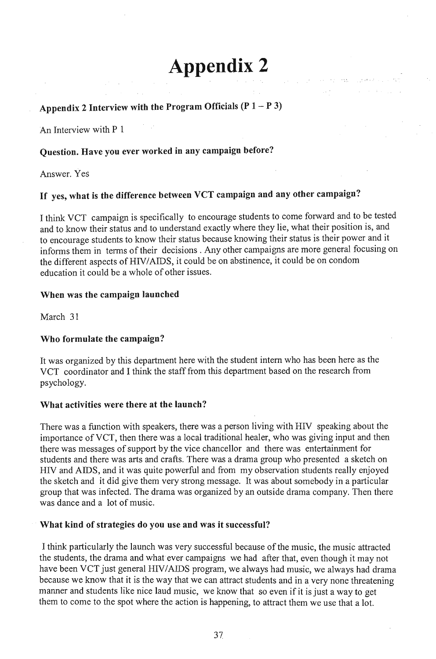# **Appendix 2**

 $\mathcal{L}^{\mathcal{L}}(\mathcal{L}^{\mathcal{L}}) = \mathcal{L}^{\mathcal{L}}(\mathcal{L}^{\mathcal{L}})$  :  $\mathcal{L}^{\mathcal{L}}(\mathcal{L}^{\mathcal{L}}) = \mathcal{L}^{\mathcal{L}}(\mathcal{L}^{\mathcal{L}})$ 

## Appendix 2 Interview with the Program Officials  $(P 1 - P 3)$

An Interview with P 1

#### Question. Have you ever worked in any campaign before?

Answer. Yes

## If yes, what is the difference between VCT campaign and any other campaign?

I think VCT campaign is specifically to encourage students to come forward and to be tested and to know their status and to understand exactly where they lie, what their position is, and to encourage students to know their status because knowing their status is their power and it informs them in terms of their decisions. Any other campaigns are more general focusing on the different aspects of HIV/AIDS, it could be on abstinence, it could be on condom education it could be a whole of other issues.

#### When was the campaign launched

March 31

#### Who formulate the campaign?

It was organized by this department here with the student intern who has been here as the VCT coordinator and I think the staff from this department based on the research from psychology.

#### What activities were there at the launch?

There was a function with speakers, there was a person living with HIV speaking about the importance of VCT, then there was a local traditional healer, who was giving input and then there was messages of support by the vice chancellor and there was entertainment for students and there was arts and crafts. There was a drama group who presented a sketch on HIY and AIDS, and it was quite powerful and from my observation students really enjoyed the sketch and it did give them very strong message. It was about somebody in a particular group that was infected. The drama was organized by an outside drama company. Then there was dance and a lot of music.

#### What kind of strategies do you use and was it successful?

I think particularly the launch was very successful because of the music, the music attracted the students, the drama and what ever campaigns we had after that, even though it may not have been VCT just general HIV/AIDS program, we always had music, we always had drama because we know that it is the way that we can attract students and in a very none threatening manner and students like nice laud music, we know that so even if it is just a way to get them to come to the spot where the action is happening, to attract them we use that a lot.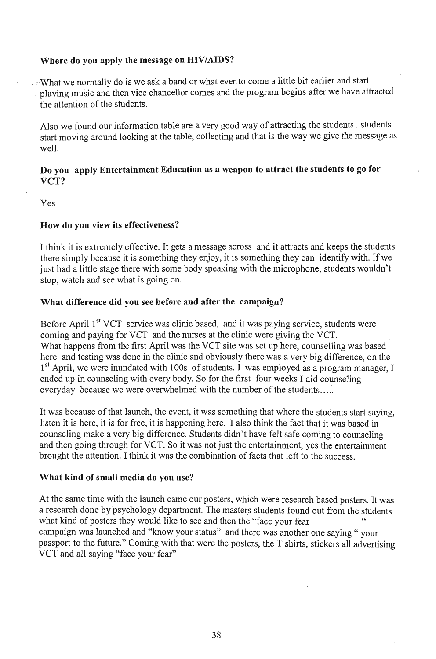#### Where do you apply the message on HIV/AIDS?

What we normally do is we ask a band or what ever to come a little bit earlier and start playing music and then vice chancellor comes and the program begins after we have attracted the attention of the students.

Also we found our information table are a very good way of attracting the students. students start moving around looking at the table, collecting and that is the way we give the message as well.

#### Do you apply Entertainment Education as a weapon to attract the students to go for VCT?

Yes

#### How do you view its effectiveness?

I think it is extremely effective. It gets a message across and it attracts and keeps the students there simply because it is something they enjoy, it is something they can identify with. If we just had a little stage there with some body speaking with the microphone, students wouldn't stop, watch and see what is going on.

#### What difference did you see before and after the campaign?

Before April  $1<sup>st</sup> VCT$  service was clinic based, and it was paying service, students were coming and paying for VCT and the nurses at the clinic were giving the VCT. What happens from the first April was the VCT site was set up here, counselling was based here and testing was done in the clinic and obviously there was a very big difference, on the  $1<sup>st</sup>$  April, we were inundated with 100s of students. I was employed as a program manager, I ended up in counseling with every body. So for the first four weeks I did counseling everyday because we were overwhelmed with the number of the students .....

It was because of that launch, the event, it was something that where the students start saying, listen it is here, it is for free, it is happening here. I also think the fact that it was based in counseling make a very big difference. Students didn't have felt safe coming to counseling and then going through for VCT. So it was not just the entertainment, yes the entertainment brought the attention. I think it was the combination of facts that left to the success.

#### What kind of small media do you use?

At the same time with the launch came our posters, which were research based posters. It was a research done by psychology department. The masters students found out from the students what kind of posters they would like to see and then the "face your fear campaign was launched and "know your status" and there was another one saying" your passport to the future." Coming with that were the posters, the T shirts, stickers all advertising VCT and all saying "face your fear"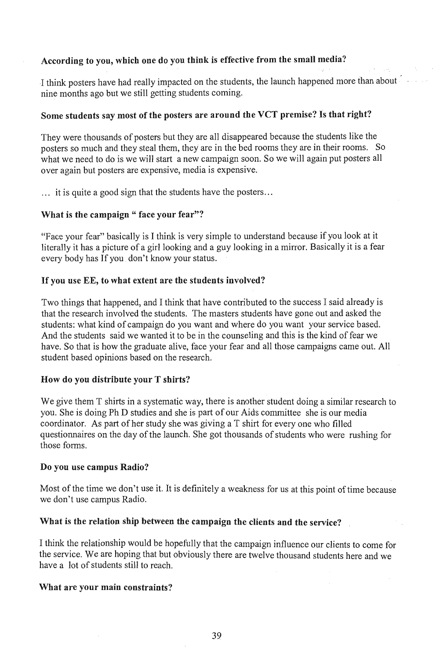#### According to you, which one do you think is effective from the small media?

I think posters have had really impacted on the students, the launch happened more than about nine months ago but we still getting students coming.

#### Some students say most of the posters are around the VCT premise? Is that right?

They were thousands of posters but they are all disappeared because the students like the posters so much and they steal them, they are in the bed rooms they are in their rooms. So what we need to do is we will start a new campaign soon. So we will again put posters all over again but posters are expensive, media is expensive .

... it is quite a good sign that the students have the posters ...

#### What is the campaign " face your fear"?

"Face your fear" basically is 1 think is very simple to understand because if you look at it literally it has a picture of a girl looking and a guy looking in a mirror. Basically it is a fear every body has If you don't know your status.

#### If you use EE, to what extent are the students involved?

Two things that happened, and I think that have contributed to the success I said already is that the research involved the students. The masters students have gone out and asked the students: what kind of campaign do you want and where do you want your service based. And the students said we wanted it to be in the counseling and this is the kind of fear we have. So that is how the graduate alive, face your fear and all those campaigns came out. All student based opinions based on the research.

#### How do you distribute your T shirts?

We give them T shirts in a systematic way, there is another student doing a similar research to you. She is doing Ph D studies and she is part of our Aids committee she is our media coordinator. As part of her study she was giving a T shirt for everyone who filled questionnaires on the day of the launch. She got thousands of students who were rushing for those forms.

#### Do you use campus Radio?

Most of the time we don't use it. It is definitely a weakness for us at this point of time because we don't use campus Radio.

#### What is the relation ship between the campaign the clients and the service?

I think the relationship would be hopefully that the campaign influence our clients to come for the service. We are hoping that but obviously there are twelve thousand students here and we have a lot of students still to reach.

#### What are your main constraints?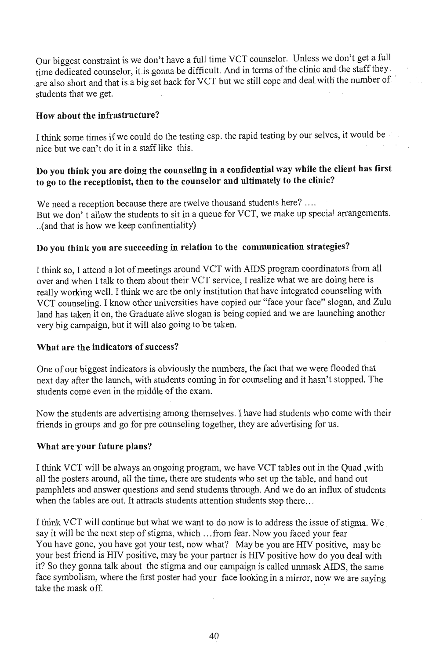Our biggest constraint is we don't have a full time VCT counselor. Unless we don't get a full time dedicated counselor, it is gonna be difficult. And in terms of the clinic and the staff they are also short and that is a big set back for VCT but we still cope and deal with the number of. students that we get.

#### How about the infrastructure?

I think some times if we could do the testing esp. the rapid testing by our selves, it would be  $\frac{1}{2}$  is the canonical three can't do it in a staff like this.

#### Do you think you are doing the counseling in a confidential way while the client has first to go to the receptionist, then to the counselor and ultimately to the clinic?

We need a reception because there are twelve thousand students here? .... But we don't allow the students to sit in a queue for VCT, we make up special arrangements. .. (and that is how we keep confinentiality)

#### Do you think you are succeeding in relation to the communication strategies?

I think so, I attend a lot of meetings around VCT with AIDS program coordinators from all over and when I talk to them about their VCT service, I realize what we are doing here is really working well. I think we are the only institution that have integrated counseling with VeT counseling. I know other universities have copied our "face your face" slogan, and Zulu land has taken it on, the Graduate alive slogan is being copied and we are launching another very big campaign, but it will also going to be taken.

#### What are the indicators of success?

One of our biggest indicators is obviously the numbers, the fact that we were flooded that next day after the launch, with students coming in for counseling and it hasn't stopped. The students come even in the middle of the exam.

Now the students are advertising among themselves. I have had students who come with their friends in groups and go for pre counseling together, they are advertising for us.

#### What are your future plans?

I think VCT will be always an ongoing program, we have VCT tables out in the Quad, with all the posters around, all the time, there are students who set up the table, and hand out pamphlets and answer questions and send students through. And we do an influx of students when the tables are out. It attracts students attention students stop there...

I think VCT will continue but what we want to do now is to address the issue of stigma. We say it will be the next step of stigma, which ... from fear. Now you faced your fear You have gone, you have got your test, now what? May be you are HIV positive, may be your best friend is HIV positive, may be your partner is HIV positive how do you deal with it? So they gonna talk about the stigma and our campaign is called unmask AIDS, the same face symbolism, where the first poster had your face looking in a mirror, a music say in santo  $\frac{1}{\sqrt{2}}$  the mask off.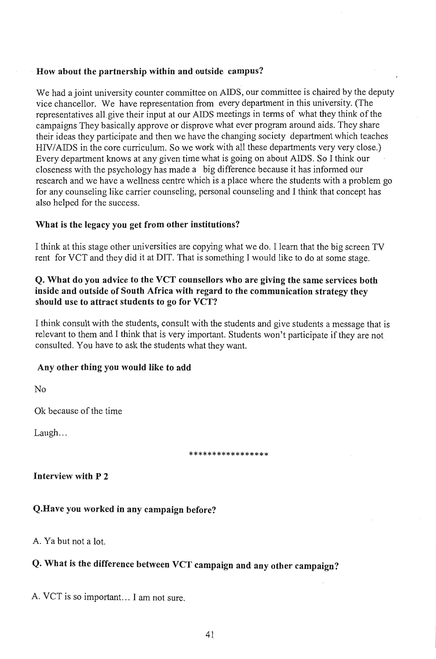#### How about the partnership within and outside campus?

We had a joint university counter committee on AIDS, our committee is chaired by the deputy vice chancellor. We have representation from every department in this university. (The representatives all give their input at our AIDS meetings in terms of what they think of the campaigns They basically approve or disprove what ever program around aids. They share their ideas they participate and then we have the changing society department which teaches HIV/AIDS in the core curriculum. So we work with all these departments very very close.) Every department knows at any given time what is going on about AIDS. So I think our closeness with the psychology has made a big difference because it has informed our research and we have a wellness centre which is a place where the students with a problem go for any counseling like carrier counseling, personal counseling and I think that concept has also helped for the success.

#### What is the legacy you get from other institutions?

I think at this stage other universities are copying what we do. I learn that the big screen TV rent for VCT and they did it at DIT. That is something I would like to do at some stage.

#### Q. What do you advice to the VCT counsellors who are giving the same services both inside and outside of South Africa with regard to the communication strategy they should use to attract students to go for VCT?

I think consult with the students, consult with the students and give students a message that is relevant to them and I think that is very important. Students won't participate if they are not consulted. You have to ask the students what they want.

#### Any other thing you would like to add

No

Ok because of the time

 $L$ augh...

\*\*\*\*\*\*\*\*\*\*\*\*\*\*\*\*\*

#### Interview with P 2

#### Q.Have you worked in any campaign before?

A. Ya but not a lot.

## Q. What is the difference between VCT campaign and any other campaign?

A. VCT is so important. .. I am not sure.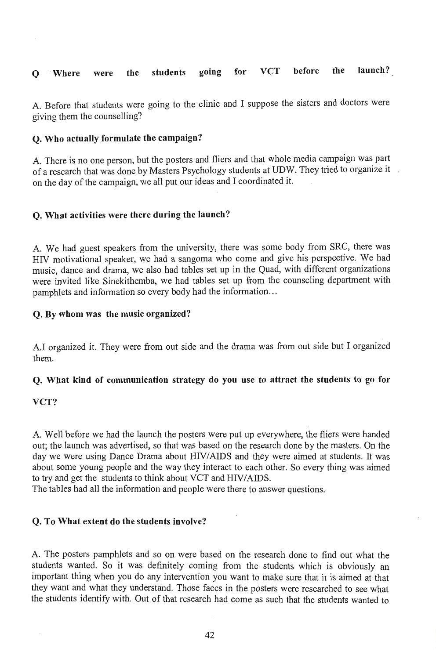#### **Q Where were the students going for VCT before the launch?**

A. Before that students were going to the clinic and I suppose the sisters and doctors were giving them the counselling?

#### **Q. Who actually formulate the campaign?**

A. There is no one person, but the posters and fliers and that whole media campaign was part of a research that was done by Masters Psychology students at UDW. They tried to organize it on the day of the campaign, we all put our ideas and I coordinated it.

#### **Q. What activities were there during the launch?**

A. We had guest speakers from the university, there was some body from SRC, there was HIV motivational speaker, we had a sangoma who come and give his perspective. We had music, dance and drama, we also had tables set up in the Quad, with different organizations were invited like Sinekithemba, we had tables set up from the counseling department with pamphlets and information so every body had the information...

#### **Q. By whom was the music organized?**

A.I organized it. They were from out side and the drama was from out side but I organized them.

#### **Q. What kind of communication strategy do you use to attract the students to go for**

#### **VCT?**

A. Well before we had the launch the posters were put up everywhere, the fliers were handed out; the launch was advertised, so that was based on the research done by the masters. On the day we were using Dance Drama about HIV/AIDS and they were aimed at students. It was about some young people and the way they interact to each other. So every thing was aimed to try and get the students to think about VCT and HIV/AIDS.

The tables had all the information and people were there to answer questions.

#### **Q. To What extent do the students involve?**

A. The posters pamphlets and so on were based on the research done to find out what the students wanted. So it was definitely coming from the students which is obviously an important thing when you do any intervention you want to make sure that it is aimed at that they want and what they understand. Those faces in the posters were researched to see what the students identify with. Out of that research had come as such that the students wanted to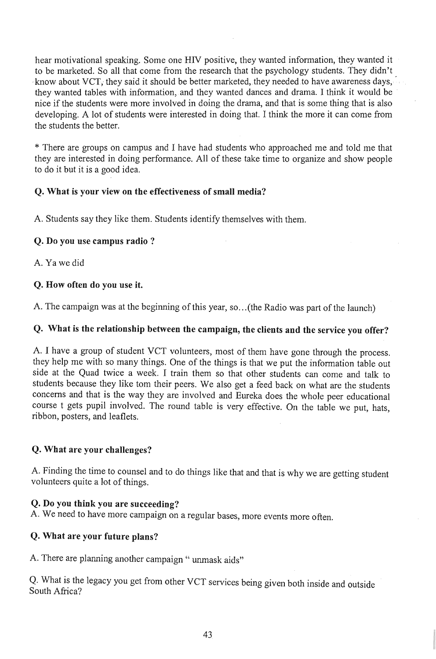hear motivational speaking. Some one HIV positive, they wanted information, they wanted it to be marketed. So all that come from the research that the psychology students. They didn't know about VCT, they said it should be better marketed, they needed to have awareness days, they wanted tables with information, and they wanted dances and drama. I think it would be nice if the students were more involved in doing the drama, and that is some thing that is also developing. A lot of students were interested in doing that. I think the more it can come from the students the better.

\* There are groups on campus and I have had students who approached me and told me that they are interested in doing performance. All of these take time to organize and show people to do it but it is a good idea.

#### Q. What is your view on the effectiveness of small media?

A. Students say they like them. Students identify themselves with them.

#### Q. Do you use campus radio?

A. Ya we did

#### Q. How often do you use it.

A. The campaign was at the beginning of this year, so... (the Radio was part of the launch)

#### Q. What is the relationship between the campaign, the clients and the service you offer?

A. I have a group of student YCT volunteers, most of them have gone through the process. they help me with so many things. One of the things is that we put the information table out side at the Quad twice a week. I train them so that other students can come and talk to students because they like tom their peers. We also get a feed back on what are the students concerns and that is the way they are involved and Eureka does the whole peer educational course t gets pupil involved. The round table is very effective. On the table we put, hats, ribbon, posters, and leaflets.

#### Q. What are your challenges?

A. Finding the time to counsel and to do things like that and that is why we are getting student volunteers quite a lot of things.

#### Q. Do you think you are succeeding?

A. We need to have more campaign on a regular bases, more events more often.

#### Q. What are your future plans?

A. There are planning another campaign " unmask aids"

Q. What is the legacy you get from other VCT services being given both inside and outside South Africa?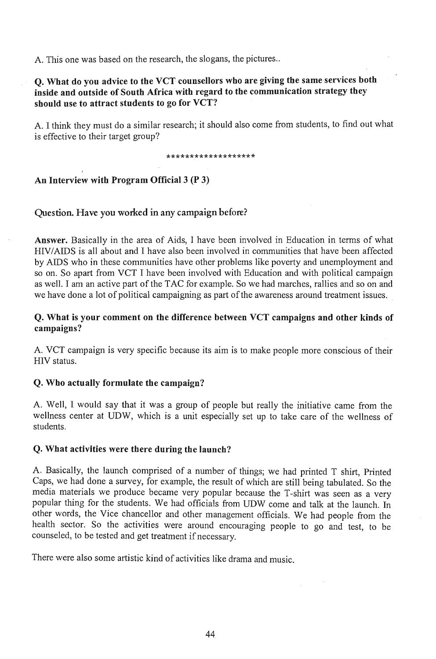A. This one was based on the research, the slogans, the pictures ..

#### $\Omega$ . What do you advice to the VCT counsellors who are giving the same services both inside and outside of South Africa with regard to the communication strategy they should use to attract students to go for VCT?

A. I think they must do a similar research; it should also come from students, to find out what is effective to their target group?

#### \*\*\*\*\*\*\*\*\*\*\*\*\*\*\*\*\*\*\*

#### An Interview with Program Official 3 (P 3)

#### Question. Have you worked in any campaign before?

Answer. Basically in the area of Aids, I have been involved in Education in terms of what HIV/AIDS is all about and I have also been involved in communities that have been affected by AIDS who in these communities have other problems like poverty and unemployment and so on. So apart from VCT I have been involved with Education and with political campaign as well. I am an active part of the TAC for example. So we had marches, rallies and so on and we have done a lot of political campaigning as part of the awareness around treatment issues.

#### Q. What is your comment on the difference between VCT campaigns and other kinds of campaigns?

A. VCT campaign is very specific because its aim is to make people more conscious of their HIV status.

#### Q. Who actually formulate the campaign?

A. Well, I would say that it was a group of people but really the initiative came from the wellness center at UDW, which is a unit especially set up to take care of the wellness of students.

#### Q. What activities were there during the launch?

A. Basically, the launch comprised of a number of things; we had printed T shirt, Printed Caps, we had done a survey, for example, the result of which are still being tabulated. So the media materials we produce became very popular because the T-shirt was seen as a very popular thing for the students. We had officials from UDW come and talk at the launch. In other words, the Vice chancellor and other management officials. We had people from the health sector. So the activities were around encouraging people to go and test, to be counseled, to be tested and get treatment if necessary.

There were also some artistic kind of activities like drama and music.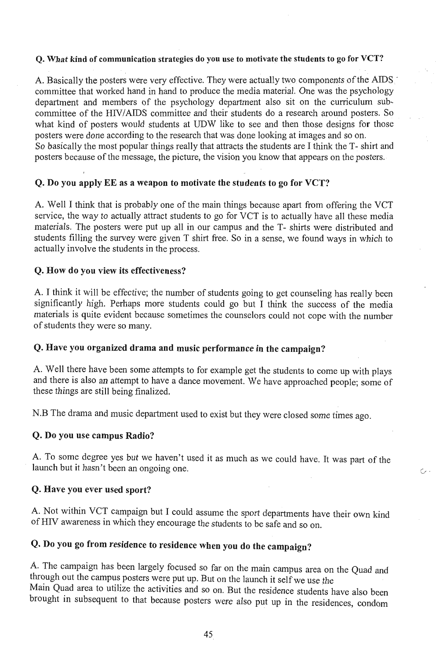#### Q. What kind of communication strategies do you use to motivate the students to go for VCT?

A. Basically the posters were very effective. They were actually two components of the AIDS committee that worked hand in hand to produce the media material. One was the psychology department and members of the psychology department also sit on the curriculum subcommittee of the HIV/AIDS committee and their students do a research around posters. So what kind of posters would students at UDW like to see and then those designs for those posters were done according to the research that was done looking at images and so on. So basically the most popular things really that attracts the students are I think the T- shirt and posters because of the message, the picture, the vision you know that appears on the posters.

#### Q. Do you apply EE as a weapon to motivate the students to go for VCT?

A. Well I think that is probably one of the main things because apart from offering the VCT service, the way to actually attract students to go for VCT is to actually have all these media materials. The posters were put up all in our campus and the T-shirts were distributed and students filling the survey were given T shirt free. So in a sense, we found ways in which to actually involve the students in the process.

#### Q. How do you view its effectiveness?

A. I think it will be effective; the number of students going to get counseling has really been significantly high. Perhaps more students could go but I think the success of the media materials is quite evident because sometimes the counselors could not cope with the number of students they were so many.

#### Q. Have you organized drama and music performance in the campaign?

A. Well there have been some attempts to for example get the students to come up with plays and there is also an attempt to have a dance movement. We have approached people; some of these things are still being finalized.

N.B The drama and music department used to exist but they were closed some times ago.

#### Q. Do you use campus Radio?

A. To some degree yes but we haven't used it as much as we could have. It was part of the launch but it hasn't been an ongoing one.

#### Q. Have you ever used sport?

A. Not within VCT campaign but I could assume the sport departments have their own kind of RIV awareness in which they encourage the students to be safe and so on.

### Q. Do you go from residence to residence when you do the campaign?

A. The campaign has been largely focused so far on the main campus area on the Quad and through out the campus posters were put up. But on the launch it selfwe use the Main Quad area to utilize the activities and so on. But the residence students have also been brought in subsequent to that because posters were also put up in the residences, condom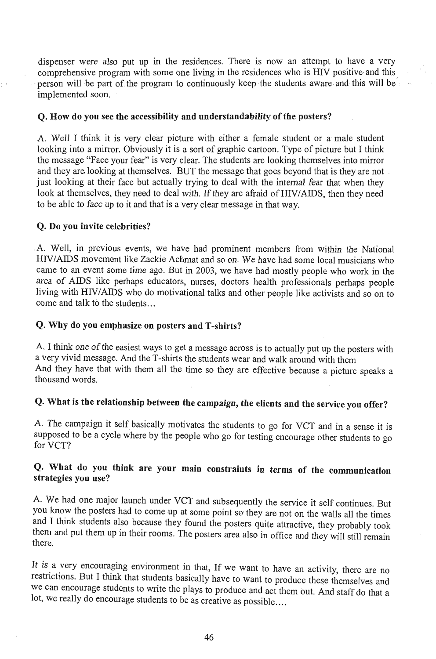dispenser were also put up in the residences. There is now an attempt to have a very comprehensive program with some one living in the residences who is HIV positive and this person will be part of the program to continuously keep the students aware and this will be implemented soon.

#### Q. How do you see the accessibility and understandability of the posters?

A. Well I think it is very clear picture with either a female student or a male student looking into a mirror. Obviously it is a sort of graphic cartoon. Type of picture but I think the message "Face your fear" is very clear. The students are looking themselves into mirror and they are looking at themselves. BUT the message that goes beyond that is they are not just looking at their face but actually trying to deal with the internal fear that when they look at themselves, they need to deal with. If they are afraid of HIV/AIDS, then they need to be able to face up to it and that is a very clear message in that way.

#### Q. Do you invite celebrities?

A. Well, in previous events, we have had prominent members from within the National HIV/AIDS movement like Zackie Achmat and so on. We have had some local musicians who came to an event some time ago. But in 2003, we have had mostly people who work in the area of AIDS like perhaps educators, nurses, doctors health professionals perhaps people living with HIV/AIDS who do motivational talks and other people like activists and so on to come and talk to the students...

#### Q. Why do you emphasize on posters and T-shirts?

A. I think one of the easiest ways to get a message across is to actually put up the posters with a very vivid message. And the T-shirts the students wear and walk around with them And they have that with them all the time so they are effective because a picture speaks a thousand words.

## Q. What is the relationship between the campaign, the clients and the service you offer?

A. The campaign it self basically motivates the students to go for VCT and in a sense it is supposed to be a cycle where by the people who go for testing encourage other students to go for VCT?

#### Q. What do you think are your main constraints in terms of the communication strategies you use?

A. We had one major launch under VCT and subsequently the service it self continues. But you know the posters had to come up at some point so they are not on the walls all the times and I think students also because they found the posters quite attractive, they probably took them and put them up in their rooms. The posters area also in office and they will still remain there.

It is a very encouraging environment in that, If we want to have an activity, there are no restrictions. But I think that students basically have to want to produce these themselves and we can encourage students to write the plays to produce and act them out. And staff do that a lot, we really do encourage students to be as creative as possible....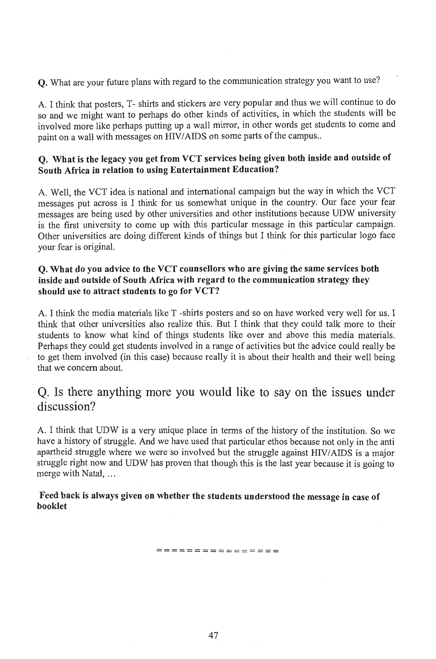Q. What are your future plans with regard to the communication strategy you want to use?

A. I think that posters, T-shirts and stickers are very popular and thus we will continue to do so and we might want to perhaps do other kinds of activities, in which the students will be involved more like perhaps putting up a wall mirror, in other words get students to come and paint on a wall with messages on HIV/AIDS on some parts of the campus..

#### Q. What is the legacy you get from VCT services being given both inside and outside of South Africa in relation to using Entertainment Education?

A. Well, the VCT idea is national and international campaign but the way in which the VCT messages put across is I think for us somewhat unique in the country. Our face your fear messages are being used by other universities and other institutions because UDW university is the first university to come up with this particular message in this particular campaign. Other universities are doing different kinds of things but I think for this particular logo face your fear is original.

#### Q. What do you advice to the VCT counsellors who are giving the same services both inside and outside of South Africa with regard to the communication strategy they should use to attract students to go for  $VCT$ ?

A. I think the media materials like T -shirts posters and so on have worked very well for us. I think that other universities also realize this. But I think that they could talk more to their students to know what kind of things students like over and above this media materials. Perhaps they could get students involved in a range of activities but the advice could really be to get them involved (in this case) because really it is about their health and their well being that we concern about.

### Q. Is there anything more you would like to say on the issues under discussion?

A. I think that UDW is a very unique place in tenns of the history of the institution. So we have a history of struggle. And we have used that particular ethos because not only in the anti apartheid struggle where we were so involved but the struggle against HIV/AIDS is a major struggle right now and UDW has proven that though this is the last year because it is going to merge with Natal, ...

#### Feed back is always given on whether the students understood the message in case of booklet

**================**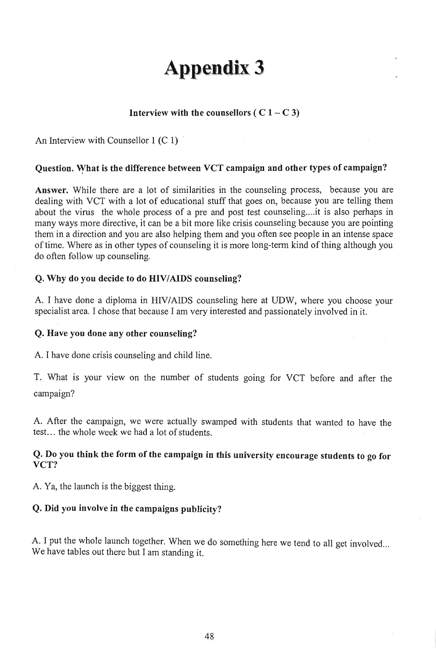# **Appendix 3**

#### Interview with the counsellors (  $C$  1 –  $C$  3)

An Interview with Counsellor 1 (C 1)

#### Question. What is the difference between VCT campaign and other types of campaign?

Answer. While there are a lot of similarities in the counseling process, because you are dealing with VCT with a lot of educational stuff that goes on, because you are telling them about the virus the whole process of a pre and post test counseling ... it is also perhaps in many ways more directive, it can be a bit more like crisis counseling because you are pointing them in a direction and you are also helping them and you often see people in an intense space of time. Where as in other types of counseling it is more long-term kind of thing although you do often follow up counseling.

#### Q. Why do you decide to do HIV/AIDS counseling?

A. I have done a diploma in HIV/AIDS counseling here at UDW, where you choose your specialist area. I chose that because I am very interested and passionately involved in it.

#### Q. Have you done any other counseling?

A. I have done crisis counseling and child line.

T. What is your view on the number of students going for VCT before and after the campaign?

A. After the campaign, we were actually swamped with students that wanted to have the test... the whole week we had a lot of students.

#### Q. Do you think the form of the campaign in this university encourage students to go for VCT?

A. Ya, the launch is the biggest thing.

#### Q. Did you involve in the campaigns publicity?

A. I put the whole launch together. When we do something here we tend to all get involved... We have tables out there but I am standing it.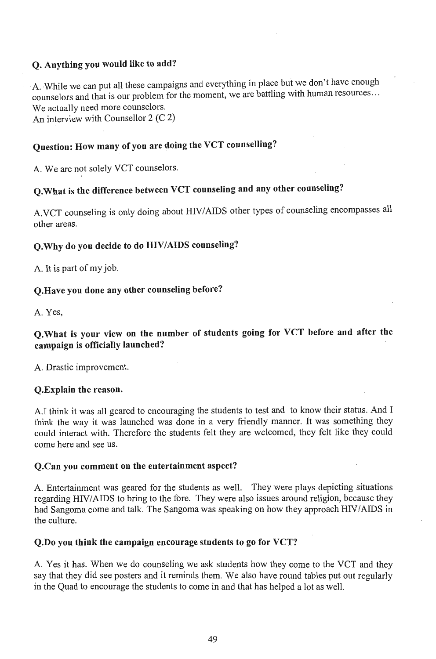#### Q. Anything you would like to add?

A.While we can put all these campaigns and everything in place but we don't have enough counselors and that is our problem for the moment, we are battling with human resources ... We actually need more counselors.

An interview with Counsellor 2 (C 2)

### Question: How many of you are doing the VCT counselling?

A. We are not solely VCT counselors.

## Q.What is the difference between VCT counseling and any other counseling?

A.VCT counseling is only doing about HIV/AIDS other types of counseling encompasses all other areas.

#### Q.Why do you decide to do HIV/AIDS counseling?

A. It is part of my job.

#### Q.Have you done any other counseling before?

A. Yes,

#### Q.What is your view on the number of students going for VCT before and after the campaign is officially launched?

A. Drastic improvement.

#### Q.Explain the reason.

A.I think it was all geared to encouraging the students to test and to know their status. And I think the way it was launched was done in a very friendly manner. It was something they could interact with. Therefore the students felt they are welcomed, they felt like they could come here and see us.

#### Q.Can you comment on the entertainment aspect?

A. Entertainment was geared for the students as well. They were plays depicting situations regarding HIV/AIDS to bring to the fore. They were also issues around religion, because they had Sangoma come and talk. The Sangoma was speaking on how they approach HIV/AIDS in the culture.

#### Q.Do you think the campaign encourage students to go for VCT?

A. Yes it has. When we do counseling we ask students how they come to the VCT and they say that they did see posters and it reminds them. We also have round tables put out regularly in the Quad to encourage the students to come in and that has helped a lot as well.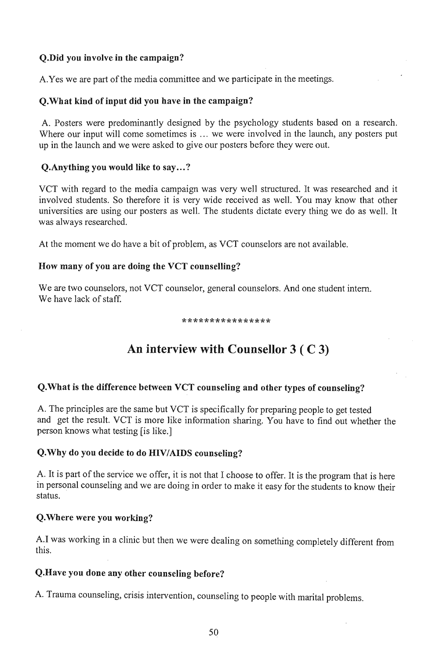#### Q.Did you involve in the campaign?

A. Yes we are part of the media committee and we participate in the meetings.

#### Q.What kind of input did you have in the campaign?

A. Posters were predominantly designed by the psychology students based on a research. Where our input will come sometimes is ... we were involved in the launch, any posters put up in the launch and we were asked to give our posters before they were out.

#### Q.Anything you would like to say...?

VCT with regard to the media campaign was very well structured. It was researched and it involved students. So therefore it is very wide received as well. You may know that other universities are using our posters as well. The students dictate every thing we do as well. It was always researched.

At the moment we do have a bit of problem, as VCT counselors are not available.

#### How many of you are doing the VCT counselling?

We are two counselors, not VCT counselor, general counselors. And one student intern. We have lack of staff.

#### \*\*\*\*\*\*\*\*\*\*\*\*\*\*\*\*

## An interview with Counsellor 3 ( C 3)

#### Q.What is the difference between VCT counseling and other types of counseling?

A. The principles are the same but VCT is specifically for preparing people to get tested and get the result. VCT is more like information sharing. You have to find out whether the per the result. VCT is friend the

#### Q.Why do you decide to do HIV/AIDS counseling?

A. It is part of the service we offer, it is not that I choose to offer. It is the program that is here in to pure or the service we one; it is not that I choose to one). It is the program that is nete persor.<br>status.

#### Q.Where were you working?

I was working in a clinic but then we were dealing on something  $\epsilon_0 = 1 + 1$ ,  $\frac{1}{2}$ .twa<br>..

#### Q.Have you done any other counseling before?

A. Trauma counseling, crisis intervention, counseling to people with marital problems.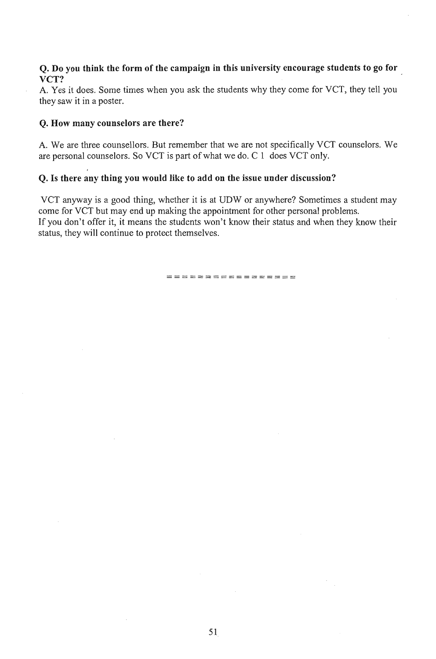#### Q. Do you think the form of the campaign in this university encourage students to go for VCT?

A. Yes it does. Some times when you ask the students why they come for VCT, they tell you they saw it in a poster.

#### Q. How many counselors are there?

A. We are three counsellors. But remember that we are not specifically VCT counselors. We are personal counselors. So VCT is part of what we do. C 1 does VCT only.

#### Q. Is there any thing you would like to add on the issue under discussion?

VCT anyway is a good thing, whether it is at UDW or anywhere? Sometimes a student may come for VCT but may end up making the appointment for other personal problems. If you don't offer it, it means the students won't know their status and when they know their status, they will continue to protect themselves.

===~=============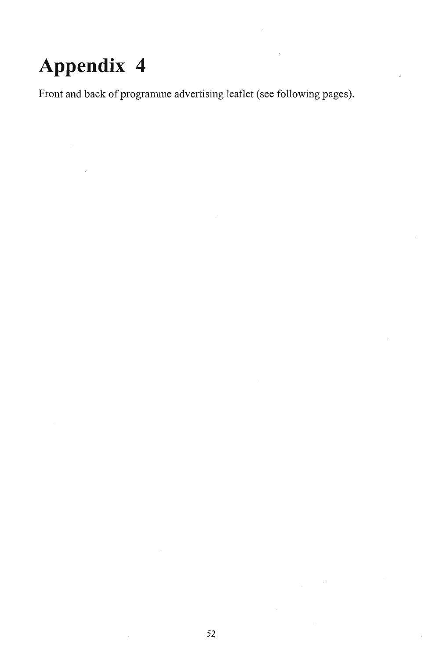# **Appendix 4**

Front and back of programme advertising leaflet (see following pages).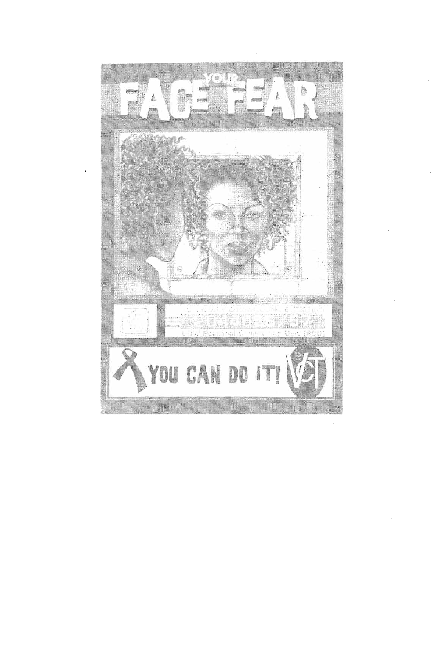